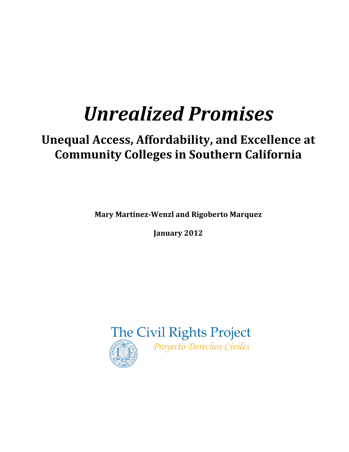# *Unrealized
Promises*

# **Unequal
Access,
Affordability,
and
Excellence
at Community
Colleges
in
Southern
California**

**Mary Martinez-Wenzl and Rigoberto Marquez** 

**January
2012**

The Civil Rights Project



Proyecto Derechos Civiles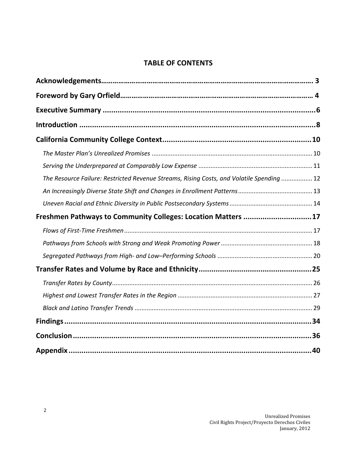#### **TABLE
OF
CONTENTS**

| The Resource Failure: Restricted Revenue Streams, Rising Costs, and Volatile Spending  12 |  |
|-------------------------------------------------------------------------------------------|--|
|                                                                                           |  |
|                                                                                           |  |
| Freshmen Pathways to Community Colleges: Location Matters 17                              |  |
|                                                                                           |  |
|                                                                                           |  |
|                                                                                           |  |
|                                                                                           |  |
|                                                                                           |  |
|                                                                                           |  |
|                                                                                           |  |
|                                                                                           |  |
|                                                                                           |  |
|                                                                                           |  |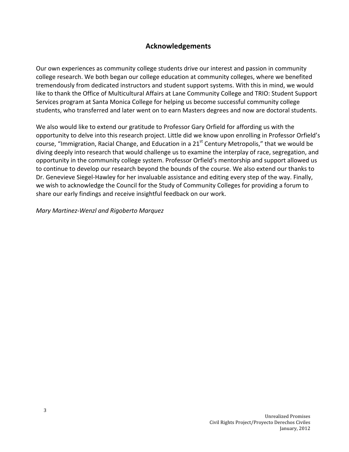#### **Acknowledgements**

Our own experiences as community college students drive our interest and passion in community college research. We both began our college education at community colleges, where we benefited tremendously from dedicated instructors and student support systems. With this in mind, we would like to thank the Office of Multicultural Affairs at Lane Community College and TRIO: Student Support Services program at Santa Monica College for helping us become successful community college students, who transferred and later went on to earn Masters degrees and now are doctoral students.

We also would like to extend our gratitude to Professor Gary Orfield for affording us with the opportunity to delve into this research project. Little did we know upon enrolling in Professor Orfield's course, "Immigration, Racial Change, and Education in a  $21<sup>st</sup>$  Century Metropolis," that we would be diving deeply into research that would challenge us to examine the interplay of race, segregation, and opportunity in the community college system. Professor Orfield's mentorship and support allowed us to continue to develop our research beyond the bounds of the course. We also extend our thanks to Dr. Genevieve Siegel-Hawley for her invaluable assistance and editing every step of the way. Finally, we wish to acknowledge the Council for the Study of Community Colleges for providing a forum to share
our
early
findings
and
receive
insightful
feedback
on
our
work.

*Mary
Martinez‐Wenzl
and
Rigoberto
Marquez*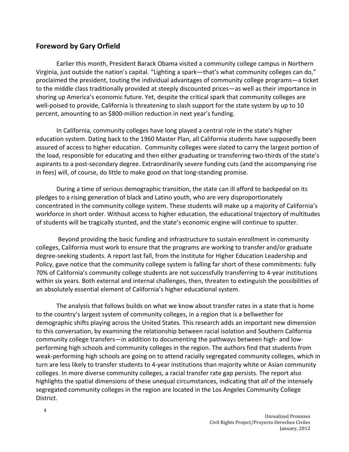#### **Foreword
by
Gary
Orfield**

Earlier this month, President Barack Obama visited a community college campus in Northern Virginia, just outside the nation's capital. "Lighting a spark-that's what community colleges can do," proclaimed
the
president,
touting
the
individual
advantages
of
community
college
programs—a
ticket to the middle class traditionally provided at steeply discounted prices—as well as their importance in shoring up America's economic future. Yet, despite the critical spark that community colleges are well-poised to provide, California is threatening to slash support for the state system by up to 10 percent,
amounting
to
an
\$800‐million
reduction
in
next
year's
funding.

In California, community colleges have long played a central role in the state's higher education system. Dating back to the 1960 Master Plan, all California students have supposedly been assured of access to higher education. Community colleges were slated to carry the largest portion of the load, responsible for educating and then either graduating or transferring two-thirds of the state's aspirants to a post-secondary degree. Extraordinarily severe funding cuts (and the accompanying rise in fees) will, of course, do little to make good on that long-standing promise.

During a time of serious demographic transition, the state can ill afford to backpedal on its pledges to a rising generation of black and Latino youth, who are very disproportionately concentrated in the community college system. These students will make up a majority of California's workforce in short order. Without access to higher education, the educational trajectory of multitudes of students will be tragically stunted, and the state's economic engine will continue to sputter.

Beyond providing the basic funding and infrastructure to sustain enrollment in community colleges, California must work to ensure that the programs are working to transfer and/or graduate degree-seeking students. A report last fall, from the Institute for Higher Education Leadership and Policy, gave notice that the community college system is falling far short of these commitments: fully 70% of California's community college students are not successfully transferring to 4-year institutions within six years. Both external and internal challenges, then, threaten to extinguish the possibilities of an absolutely essential element of California's higher educational system.

The
analysis
that
follows
builds
on
what
we
know
about
transfer
rates
in
a
state
that
is
home to the country's largest system of community colleges, in a region that is a bellwether for demographic shifts playing across the United States. This research adds an important new dimension to this conversation, by examining the relationship between racial isolation and Southern California community college transfers—in addition to documenting the pathways between high- and lowperforming high schools and community colleges in the region. The authors find that students from weak-performing high schools are going on to attend racially segregated community colleges, which in turn are less likely to transfer students to 4-year institutions than majority white or Asian community colleges. In more diverse community colleges, a racial transfer rate gap persists. The report also highlights the spatial dimensions of these unequal circumstances, indicating that all of the intensely segregated community colleges in the region are located in the Los Angeles Community College District.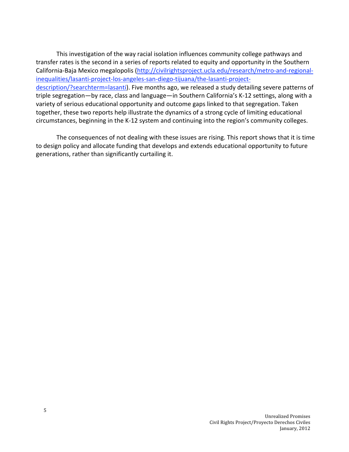This
investigation
of
the
way
racial
isolation
influences
community
college
pathways
and transfer rates is the second in a series of reports related to equity and opportunity in the Southern California-Baja Mexico megalopolis (http://civilrightsproject.ucla.edu/research/metro-and-regionalinequalities/lasanti‐project‐los‐angeles‐san‐diego‐tijuana/the‐lasanti‐project‐ description/?searchterm=lasanti). Five months ago, we released a study detailing severe patterns of triple segregation-by race, class and language-in Southern California's K-12 settings, along with a variety of serious educational opportunity and outcome gaps linked to that segregation. Taken together, these two reports help illustrate the dynamics of a strong cycle of limiting educational circumstances, beginning in the K-12 system and continuing into the region's community colleges.

The consequences of not dealing with these issues are rising. This report shows that it is time to design policy and allocate funding that develops and extends educational opportunity to future generations,
rather
than
significantly
curtailing
it.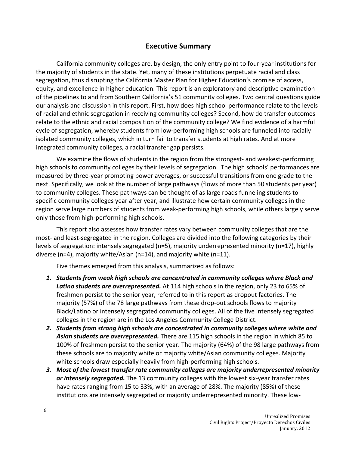#### **Executive
Summary**

California community colleges are, by design, the only entry point to four-year institutions for the majority of students in the state. Yet, many of these institutions perpetuate racial and class segregation, thus disrupting the California Master Plan for Higher Education's promise of access, equity, and excellence in higher education. This report is an exploratory and descriptive examination of the pipelines to and from Southern California's 51 community colleges. Two central questions guide our analysis and discussion in this report. First, how does high school performance relate to the levels of racial and ethnic segregation in receiving community colleges? Second, how do transfer outcomes relate to the ethnic and racial composition of the community college? We find evidence of a harmful cycle of segregation, whereby students from low-performing high schools are funneled into racially isolated community colleges, which in turn fail to transfer students at high rates. And at more integrated
community
colleges,
a
racial
transfer
gap
persists.

We examine the flows of students in the region from the strongest- and weakest-performing high schools to community colleges by their levels of segregation. The high schools' performances are measured by three-year promoting power averages, or successful transitions from one grade to the next. Specifically, we look at the number of large pathways (flows of more than 50 students per year) to community colleges. These pathways can be thought of as large roads funneling students to specific community colleges year after year, and illustrate how certain community colleges in the region serve large numbers of students from weak-performing high schools, while others largely serve only
those
from
high‐performing
high
schools.

This
report
also
assesses
how
transfer
rates
vary
between
community
colleges
that
are
the most- and least-segregated in the region. Colleges are divided into the following categories by their levels of segregation: intensely segregated (n=5), majority underrepresented minority (n=17), highly diverse (n=4), majority white/Asian (n=14), and majority white (n=11).

Five
themes
emerged
from
this
analysis,
summarized
as
follows:

- *1. Students
from
weak
high
schools
are
concentrated
in
community
colleges
where
Black
and*  Latino students are overrepresented. At 114 high schools in the region, only 23 to 65% of freshmen persist to the senior year, referred to in this report as dropout factories. The majority (57%) of the 78 large pathways from these drop-out schools flows to majority Black/Latino or intensely segregated community colleges. All of the five intensely segregated colleges
in
the
region
are
in
the
Los
Angeles
Community
College
District.
- 2. Students from strong high schools are concentrated in community colleges where white and Asian students are overrepresented. There are 115 high schools in the region in which 85 to 100% of freshmen persist to the senior year. The majority (64%) of the 98 large pathways from these
schools
are
to
majority
white
or
majority
white/Asian
community
colleges.
Majority white schools draw especially heavily from high-performing high schools.
- 3. Most of the lowest transfer rate community colleges are majority underrepresented minority or *intensely segregated*. The 13 community colleges with the lowest six-year transfer rates have rates ranging from 15 to 33%, with an average of 28%. The majority (85%) of these institutions are intensely segregated or majority underrepresented minority. These low-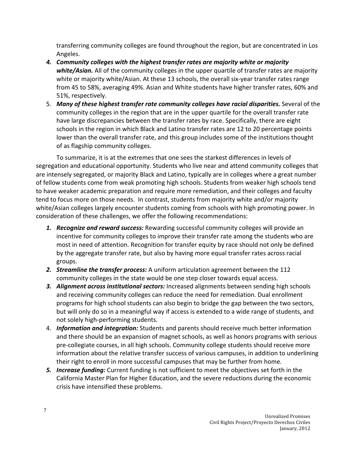transferring
community
colleges
are
found
throughout
the
region,
but
are
concentrated
in
Los Angeles.

- 4. Community colleges with the highest transfer rates are majority white or majority white/Asian. All of the community colleges in the upper quartile of transfer rates are majority white or majority white/Asian. At these 13 schools, the overall six-year transfer rates range from 45 to 58%, averaging 49%. Asian and White students have higher transfer rates, 60% and 51%,
respectively.
- 5. Many of these highest transfer rate community colleges have racial disparities. Several of the community colleges in the region that are in the upper quartile for the overall transfer rate have large discrepancies between the transfer rates by race. Specifically, there are eight schools in the region in which Black and Latino transfer rates are 12 to 20 percentage points lower than the overall transfer rate, and this group includes some of the institutions thought of
as
flagship
community
colleges.

To summarize, it is at the extremes that one sees the starkest differences in levels of segregation and educational opportunity. Students who live near and attend community colleges that are intensely segregated, or majority Black and Latino, typically are in colleges where a great number of fellow students come from weak promoting high schools. Students from weaker high schools tend to have weaker academic preparation and require more remediation, and their colleges and faculty tend to focus more on those needs. In contrast, students from majority white and/or majority white/Asian colleges largely encounter students coming from schools with high promoting power. In consideration of these challenges, we offer the following recommendations:

- 1. Recognize and reward success: Rewarding successful community colleges will provide an incentive for community colleges to improve their transfer rate among the students who are most
in
need
of
attention.
Recognition
for
transfer
equity
by
race
should
not
only
be
defined by the aggregate transfer rate, but also by having more equal transfer rates across racial groups.
- 2. Streamline the transfer process: A uniform articulation agreement between the 112 community
colleges
in
the
state
would
be
one
step
closer
towards
equal
access.
- 3. Alignment across institutional sectors: Increased alignments between sending high schools and receiving community colleges can reduce the need for remediation. Dual enrollment programs
for
high
school
students
can
also
begin
to
bridge
the
gap
between
the
two
sectors, but will only do so in a meaningful way if access is extended to a wide range of students, and not
solely
high‐performing
students.
- 4. **Information and integration:** Students and parents should receive much better information and there should be an expansion of magnet schools, as well as honors programs with serious pre-collegiate courses, in all high schools. Community college students should receive more information
about
the
relative
transfer
success
of
various
campuses,
in
addition
to
underlining their
right
to
enroll
in
more
successful
campuses
that
may
be
further
from
home*.*
- 5. Increase funding: Current funding is not sufficient to meet the objectives set forth in the California Master Plan for Higher Education, and the severe reductions during the economic crisis
have
intensified
these
problems.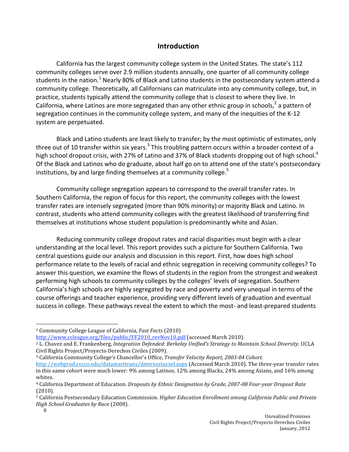#### **Introduction**

California has the largest community college system in the United States. The state's 112 community colleges serve over 2.9 million students annually, one quarter of all community college students in the nation.<sup>1</sup> Nearly 80% of Black and Latino students in the postsecondary system attend a community college. Theoretically, all Californians can matriculate into any community college, but, in practice, students typically attend the community college that is closest to where they live. In California, where Latinos are more segregated than any other ethnic group in schools,<sup>2</sup> a pattern of segregation continues in the community college system, and many of the inequities of the K-12 system
are
perpetuated.

Black and Latino students are least likely to transfer; by the most optimistic of estimates, only three out of 10 transfer within six years.<sup>3</sup> This troubling pattern occurs within a broader context of a high school dropout crisis, with 27% of Latino and 37% of Black students dropping out of high school.<sup>4</sup> Of the Black and Latinos who do graduate, about half go on to attend one of the state's postsecondary institutions, by and large finding themselves at a community college.<sup>5</sup>

Community college segregation appears to correspond to the overall transfer rates. In Southern California, the region of focus for this report, the community colleges with the lowest transfer rates are intensely segregated (more than 90% minority) or majority Black and Latino. In contrast, students who attend community colleges with the greatest likelihood of transferring find themselves at institutions whose student population is predominantly white and Asian.

Reducing community college dropout rates and racial disparities must begin with a clear understanding at the local level. This report provides such a picture for Southern California. Two central questions guide our analysis and discussion in this report. First, how does high school performance relate to the levels of racial and ethnic segregation in receiving community colleges? To answer this question, we examine the flows of students in the region from the strongest and weakest performing
high
schools
to
community
colleges
by
the
colleges'
levels
of
segregation.
Southern California's high schools are highly segregated by race and poverty and very unequal in terms of the course offerings and teacher experience, providing very different levels of graduation and eventual success in college. These pathways reveal the extent to which the most- and least-prepared students

<sup>&</sup>lt;sup>1</sup> Community College League of California, *Fast Facts* (2010)

http://www.ccleague.org/files/public/FF2010\_revNov10.pdf (accessed March 2010).

<sup>&</sup>lt;sup>2</sup> L. Chavez and E. Frankenberg, *Integration Defended: Berkeley Unified's Strategy to Maintain School Diversity. UCLA* Civil
Rights
Project/Proyecto
Derechos
Civiles
(2009).

<sup>&</sup>lt;sup>3</sup> California Community College's Chancellor's Office, Transfer Velocity Report, 2003-04 Cohort.

http://webprod.cccco.edu/datamarttrans/dmtrnsstucsel.aspx (Accessed March 2010). The three-year transfer rates in this same cohort were much lower: 9% among Latinos, 12% among Blacks, 24% among Asians, and 16% among whites.

<sup>&</sup>lt;sup>4</sup> California Department of Education. *Dropouts by Ethnic Designation by Grade, 2007-08 Four-year Dropout Rate* (2010).

<sup>&</sup>lt;sup>5</sup> California Postsecondary Education Commission. Higher Education Enrollment among California Public and Private *High
School
Graduates
by
Race* (2008).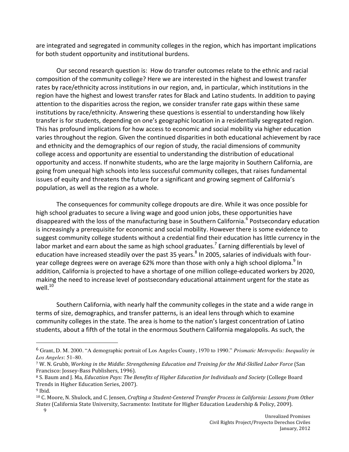are integrated and segregated in community colleges in the region, which has important implications for
both
student
opportunity
and
institutional
burdens.

Our second research question is: How do transfer outcomes relate to the ethnic and racial composition of the community college? Here we are interested in the highest and lowest transfer rates by race/ethnicity across institutions in our region, and, in particular, which institutions in the region have the highest and lowest transfer rates for Black and Latino students. In addition to paying attention to the disparities across the region, we consider transfer rate gaps within these same institutions by race/ethnicity. Answering these questions is essential to understanding how likely transfer is for students, depending on one's geographic location in a residentially segregated region. This
has
profound
implications
for
how
access
to
economic
and
social
mobility
via
higher
education varies throughout the region. Given the continued disparities in both educational achievement by race and ethnicity and the demographics of our region of study, the racial dimensions of community college access and opportunity are essential to understanding the distribution of educational opportunity and access. If nonwhite students, who are the large majority in Southern California, are going from unequal high schools into less successful community colleges, that raises fundamental issues of equity and threatens the future for a significant and growing segment of California's population,
as
well
as
the
region
as
a
whole.

The
consequences
for
community
college
dropouts
are
dire.
While
it
was
once
possible
for high school graduates to secure a living wage and good union jobs, these opportunities have disappeared with the loss of the manufacturing base in Southern California.<sup>6</sup> Postsecondary education is increasingly a prerequisite for economic and social mobility. However there is some evidence to suggest community college students without a credential find their education has little currency in the labor market and earn about the same as high school graduates.<sup>7</sup> Earning differentials by level of education have increased steadily over the past 35 years.<sup>8</sup> In 2005, salaries of individuals with fouryear college degrees were on average 62% more than those with only a high school diploma.<sup>9</sup> In addition, California is projected to have a shortage of one million college-educated workers by 2020, making the need to increase level of postsecondary educational attainment urgent for the state as well. $10$ 

Southern California, with nearly half the community colleges in the state and a wide range in terms of size, demographics, and transfer patterns, is an ideal lens through which to examine community colleges in the state. The area is home to the nation's largest concentration of Latino students, about a fifth of the total in the enormous Southern California megalopolis. As such, the

<sup>6</sup> Grant, D. M. 2000. "A demographic portrait of Los Angeles County, 1970 to 1990." *Prismatic Metropolis: Inequality in Los Angeles*: 51–80.

<sup>&</sup>lt;sup>7</sup> W. N. Grubb, Working in the Middle: Strengthening Education and Training for the Mid-Skilled Labor Force (San Francisco:
Jossey‐Bass
Publishers,
1996).

<sup>&</sup>lt;sup>8</sup> S. Baum and J. Ma, *Education Pays: The Benefits of Higher Education for Individuals and Society* (College Board Trends
in
Higher
Education
Series,
2007).

<sup>9</sup>Ibid.

<sup>9</sup> <sup>10</sup> C. Moore, N. Shulock, and C. Jensen, *Crafting a Student-Centered Transfer Process in California: Lessons from Other* States (California State University, Sacramento: Institute for Higher Education Leadership & Policy, 2009).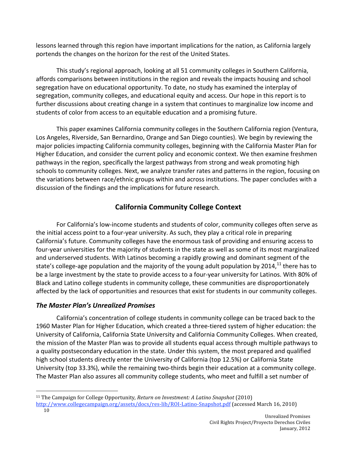lessons learned through this region have important implications for the nation, as California largely portends the changes on the horizon for the rest of the United States.

This
study's
regional
approach,
looking
at
all
51
community
colleges
in
Southern
California, affords
comparisons
between
institutions
in
the
region
and
reveals
the
impacts
housing
and
school segregation have on educational opportunity. To date, no study has examined the interplay of segregation, community colleges, and educational equity and access. Our hope in this report is to further discussions about creating change in a system that continues to marginalize low income and students of color from access to an equitable education and a promising future.

This paper examines California community colleges in the Southern California region (Ventura, Los Angeles, Riverside, San Bernardino, Orange and San Diego counties). We begin by reviewing the major policies impacting California community colleges, beginning with the California Master Plan for Higher Education, and consider the current policy and economic context. We then examine freshmen pathways in the region, specifically the largest pathways from strong and weak promoting high schools to community colleges. Next, we analyze transfer rates and patterns in the region, focusing on the variations between race/ethnic groups within and across institutions. The paper concludes with a discussion of the findings and the implications for future research.

#### **California
Community
College
Context**

For California's low-income students and students of color, community colleges often serve as the initial access point to a four-year university. As such, they play a critical role in preparing California's future. Community colleges have the enormous task of providing and ensuring access to four-year universities for the majority of students in the state as well as some of its most marginalized and underserved students. With Latinos becoming a rapidly growing and dominant segment of the state's college-age population and the majority of the young adult population by 2014,<sup>11</sup> there has to be a large investment by the state to provide access to a four-year university for Latinos. With 80% of Black and Latino college students in community college, these communities are disproportionately affected by the lack of opportunities and resources that exist for students in our community colleges.

#### *The
Master
Plan's
Unrealized
Promises*

California's concentration of college students in community college can be traced back to the 1960 Master Plan for Higher Education, which created a three-tiered system of higher education: the University of California, California State University and California Community Colleges. When created, the mission of the Master Plan was to provide all students equal access through multiple pathways to a quality postsecondary education in the state. Under this system, the most prepared and qualified high school students directly enter the University of California (top 12.5%) or California State University (top 33.3%), while the remaining two-thirds begin their education at a community college. The Master Plan also assures all community college students, who meet and fulfill a set number of

<sup>&</sup>lt;sup>11</sup> The Campaign for College Opportunity, Return on Investment: A Latino Snapshot (2010)

<sup>10</sup> http://www.collegecampaign.org/assets/docs/res-lib/ROI-Latino-Snapshot.pdf (accessed March 16, 2010)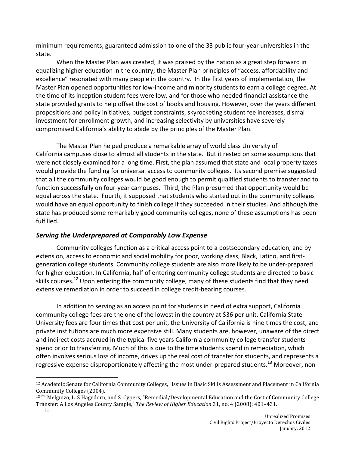minimum requirements, guaranteed admission to one of the 33 public four-year universities in the state.

When the Master Plan was created, it was praised by the nation as a great step forward in equalizing higher education in the country; the Master Plan principles of "access, affordability and excellence" resonated with many people in the country. In the first years of implementation, the Master Plan opened opportunities for low-income and minority students to earn a college degree. At the time of its inception student fees were low, and for those who needed financial assistance the state provided grants to help offset the cost of books and housing. However, over the years different propositions
and
policy
initiatives,
budget
constraints,
skyrocketing
student
fee
increases,
dismal investment for enrollment growth, and increasing selectivity by universities have severely compromised
California's
ability
to
abide
by
the
principles
of
the
Master
Plan.

The
Master
Plan
helped
produce
a
remarkable
array
of
world
class
University
of California campuses close to almost all students in the state. But it rested on some assumptions that were not closely examined for a long time. First, the plan assumed that state and local property taxes would provide the funding for universal access to community colleges. Its second premise suggested that all the community colleges would be good enough to permit qualified students to transfer and to function successfully on four-year campuses. Third, the Plan presumed that opportunity would be equal across the state. Fourth, it supposed that students who started out in the community colleges would have an equal opportunity to finish college if they succeeded in their studies. And although the state has produced some remarkably good community colleges, none of these assumptions has been fulfilled.

#### *Serving
the
Underprepared
at
Comparably
Low
Expense*

Community colleges function as a critical access point to a postsecondary education, and by extension, access to economic and social mobility for poor, working class, Black, Latino, and firstgeneration college students. Community college students are also more likely to be under-prepared for higher education. In California, half of entering community college students are directed to basic skills courses.<sup>12</sup> Upon entering the community college, many of these students find that they need extensive remediation in order to succeed in college credit-bearing courses.

In addition to serving as an access point for students in need of extra support, California community college fees are the one of the lowest in the country at \$36 per unit. California State University fees are four times that cost per unit, the University of California is nine times the cost, and private institutions are much more expensive still. Many students are, however, unaware of the direct and indirect costs accrued in the typical five years California community college transfer students spend prior to transferring. Much of this is due to the time students spend in remediation, which often involves serious loss of income, drives up the real cost of transfer for students, and represents a regressive expense disproportionately affecting the most under-prepared students.<sup>13</sup> Moreover, non-

<sup>&</sup>lt;sup>12</sup> Academic Senate for California Community Colleges, "Issues in Basic Skills Assessment and Placement in California Community
Colleges
(2004).

<sup>11</sup> <sup>13</sup> T. Melguizo, L. S Hagedorn, and S. Cypers, "Remedial/Developmental Education and the Cost of Community College Transfer:
A
Los
Angeles
County
Sample," *The
Review
of
Higher
Education*31,
no.
4
(2008):
401–431.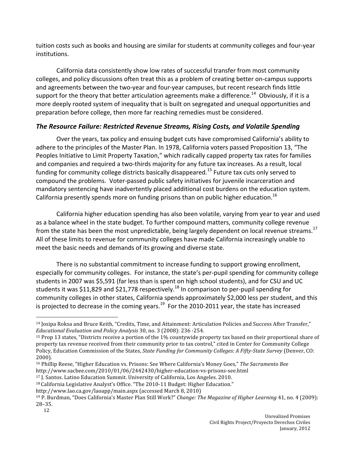tuition costs such as books and housing are similar for students at community colleges and four-year institutions.

California
data
consistently
show
low
rates
of
successful
transfer
from
most
community colleges, and policy discussions often treat this as a problem of creating better on-campus supports and agreements between the two-year and four-year campuses, but recent research finds little support for the theory that better articulation agreements make a difference.<sup>14</sup> Obviously, if it is a more deeply rooted system of inequality that is built on segregated and unequal opportunities and preparation before college, then more far reaching remedies must be considered.

#### The Resource Failure: Restricted Revenue Streams, Rising Costs, and Volatile Spending

Over the years, tax policy and ensuing budget cuts have compromised California's ability to adhere to the principles of the Master Plan. In 1978, California voters passed Proposition 13, "The Peoples Initiative to Limit Property Taxation," which radically capped property tax rates for families and companies and required a two-thirds majority for any future tax increases. As a result, local funding for community college districts basically disappeared.<sup>15</sup> Future tax cuts only served to compound the problems. Voter-passed public safety initiatives for juvenile incarceration and mandatory sentencing have inadvertently placed additional cost burdens on the education system. California presently spends more on funding prisons than on public higher education.<sup>16</sup>

California higher education spending has also been volatile, varying from year to year and used as a balance wheel in the state budget. To further compound matters, community college revenue from the state has been the most unpredictable, being largely dependent on local revenue streams.<sup>17</sup> All of these limits to revenue for community colleges have made California increasingly unable to meet the basic needs and demands of its growing and diverse state.

There
is
no
substantial
commitment
to
increase
funding
to
support
growing
enrollment, especially for community colleges. For instance, the state's per-pupil spending for community college students in 2007 was \$5,591 (far less than is spent on high school students), and for CSU and UC students it was \$11,829 and \$21,778 respectively.<sup>18</sup> In comparison to per-pupil spending for community colleges in other states, California spends approximately \$2,000 less per student, and this is projected to decrease in the coming years.<sup>19</sup> For the 2010-2011 year, the state has increased

- <sup>16</sup> Phillip Reese, "Higher Education vs. Prisons: See Where California's Money Goes," The Sacramento Bee http://www.sacbee.com/2010/01/06/2442430/higher‐education‐vs‐prisons‐see.html
- <sup>17</sup> J. Santos. Latino Education Summit. University of California, Los Angeles. 2010.

http://www.lao.ca.gov/laoapp/main.aspx
(accessed
March
8,
2010)

12

<sup>&</sup>lt;sup>14</sup> Josipa Roksa and Bruce Keith, "Credits, Time, and Attainment: Articulation Policies and Success After Transfer," Educational Evaluation and Policy Analysis 30, no. 3 (2008): 236 -254.

<sup>&</sup>lt;sup>15</sup> Prop 13 states, "Districts receive a portion of the 1% countywide property tax based on their proportional share of property tax revenue received from their community prior to tax control," cited in Center for Community College Policy, Education Commission of the States, *State Funding for Community Colleges: A Fifty-State Survey* (Denver, CO: 2000).

<sup>&</sup>lt;sup>18</sup> California Legislative Analyst's Office. "The 2010-11 Budget: Higher Education."

<sup>&</sup>lt;sup>19</sup> P. Burdman, "Does California's Master Plan Still Work?" Change: The Magazine of Higher Learning 41, no. 4 (2009): 28–35.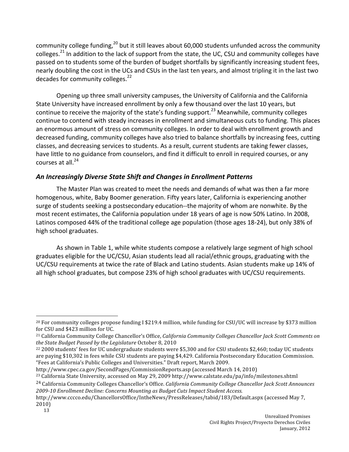community college funding,<sup>20</sup> but it still leaves about 60,000 students unfunded across the community colleges.<sup>21</sup> In addition to the lack of support from the state, the UC, CSU and community colleges have passed on to students some of the burden of budget shortfalls by significantly increasing student fees, nearly doubling the cost in the UCs and CSUs in the last ten years, and almost tripling it in the last two decades for community colleges.<sup>22</sup>

Opening up three small university campuses, the University of California and the California State University have increased enrollment by only a few thousand over the last 10 years, but continue to receive the majority of the state's funding support.<sup>23</sup> Meanwhile, community colleges continue to contend with steady increases in enrollment and simultaneous cuts to funding. This places an enormous amount of stress on community colleges. In order to deal with enrollment growth and decreased funding, community colleges have also tried to balance shortfalls by increasing fees, cutting classes, and decreasing services to students. As a result, current students are taking fewer classes, have little to no guidance from counselors, and find it difficult to enroll in required courses, or any courses at all.<sup>24</sup>

#### *An
Increasingly
Diverse
State
Shift
and
Changes
in
Enrollment
Patterns*

The
Master
Plan
was
created
to
meet
the
needs
and
demands
of
what
was
then
a
far
more homogenous, white, Baby Boomer generation. Fifty years later, California is experiencing another surge of students seeking a postsecondary education--the majority of whom are nonwhite. By the most recent estimates, the California population under 18 years of age is now 50% Latino. In 2008, Latinos composed 44% of the traditional college age population (those ages 18-24), but only 38% of high
school
graduates.

As shown in Table 1, while white students compose a relatively large segment of high school graduates eligible for the UC/CSU, Asian students lead all racial/ethnic groups, graduating with the UC/CSU requirements at twice the rate of Black and Latino students. Asian students make up 14% of all high school graduates, but compose 23% of high school graduates with UC/CSU requirements.

<sup>&</sup>lt;sup>20</sup> For community colleges propose funding I \$219.4 million, while funding for CSU/UC will increase by \$373 million for
CSU
and
\$423
million
for
UC.

<sup>&</sup>lt;sup>21</sup> California Community College Chancellor's Office, California Community Colleges Chancellor Jack Scott Comments on *the
State
Budget
Passed
by
the
Legislature*October
8,
2010

<sup>&</sup>lt;sup>22</sup> 2000 students' fees for UC undergraduate students were \$5,300 and for CSU students \$2,460; today UC students are paying \$10,302 in fees while CSU students are paying \$4,429. California Postsecondary Education Commission. "Fees
at
California's
Public
Colleges
and
Universities."
Draft
report,
March
2009.

http://www.cpec.ca.gov/SecondPages/CommissionReports.asp
(accessed
March
14,
2010)

<sup>&</sup>lt;sup>23</sup> California State University, accessed on May 29, 2009 http://www.calstate.edu/pa/info/milestones.shtml

<sup>&</sup>lt;sup>24</sup> California Community Colleges Chancellor's Office. *California Community College Chancellor Jack Scott Announces* 2009-10 Enrollment Decline: Concerns Mounting as Budget Cuts Impact Student Access.

<sup>13</sup> http://www.cccco.edu/ChancellorsOffice/IntheNews/PressReleases/tabid/183/Default.aspx (accessed May 7, 2010)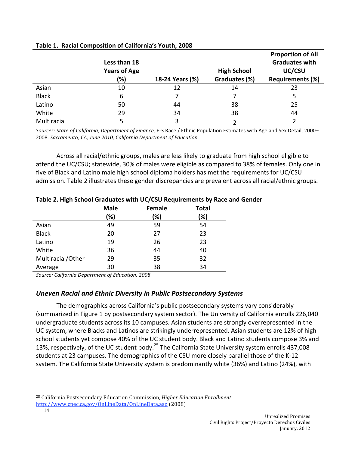|              | Less than 18<br><b>Years of Age</b> |                 | <b>High School</b> | <b>Proportion of All</b><br><b>Graduates with</b><br>UC/CSU |
|--------------|-------------------------------------|-----------------|--------------------|-------------------------------------------------------------|
|              | (%)                                 | 18-24 Years (%) | Graduates (%)      | <b>Requirements (%)</b>                                     |
| Asian        | 10                                  | 12              | 14                 | 23                                                          |
| <b>Black</b> | 6                                   |                 | 7                  | 5                                                           |
| Latino       | 50                                  | 44              | 38                 | 25                                                          |
| White        | 29                                  | 34              | 38                 | 44                                                          |
| Multiracial  | 5                                   | 3               | ำ                  |                                                             |

#### **Table
1.

Racial
Composition
of
California's
Youth,
2008**

Sources: State of California, Department of Finance, E-3 Race / Ethnic Population Estimates with Age and Sex Detail, 2000– 2008.*Sacramento,
CA,
June 2010,
California
Department
of
Education.*

Across all racial/ethnic groups, males are less likely to graduate from high school eligible to attend the UC/CSU; statewide, 30% of males were eligible as compared to 38% of females. Only one in five of Black and Latino male high school diploma holders has met the requirements for UC/CSU admission. Table 2 illustrates these gender discrepancies are prevalent across all racial/ethnic groups.

|                   | <b>Male</b> | Female | <b>Total</b> |
|-------------------|-------------|--------|--------------|
|                   | (%)         | (%)    | (%)          |
| Asian             | 49          | 59     | 54           |
| <b>Black</b>      | 20          | 27     | 23           |
| Latino            | 19          | 26     | 23           |
| White             | 36          | 44     | 40           |
| Multiracial/Other | 29          | 35     | 32           |
| Average           | 30          | 38     | 34           |

#### **Table
2.
High
School
Graduates
with
UC/CSU
Requirements
by
Race
and
Gender**

*Source:
California
Department
of
Education,
2008*

#### *Uneven
Racial
and
Ethnic
Diversity
in
Public
Postsecondary
Systems*

The
demographics
across
California's
public
postsecondary
systems
vary
considerably (summarized
in
Figure
1
by
postsecondary
system
sector).
The
University
of
California
enrolls
226,040 undergraduate students across its 10 campuses. Asian students are strongly overrepresented in the UC system, where Blacks and Latinos are strikingly underrepresented. Asian students are 12% of high school students yet compose 40% of the UC student body. Black and Latino students compose 3% and 13%, respectively, of the UC student body.<sup>25</sup> The California State University system enrolls 437,008 students at 23 campuses. The demographics of the CSU more closely parallel those of the K-12 system. The California State University system is predominantly white (36%) and Latino (24%), with

<sup>25</sup>California
Postsecondary
Education
Commission, *Higher
Education
Enrollment*

http://www.cpec.ca.gov/OnLineData/OnLineData.asp
(2008)

<sup>14</sup>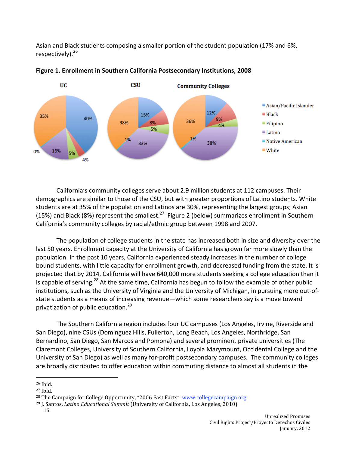Asian and Black students composing a smaller portion of the student population (17% and 6%, respectively).<sup>26</sup>



#### Figure 1. Enrollment in Southern California Postsecondary Institutions, 2008

California's community colleges serve about 2.9 million students at 112 campuses. Their demographics are similar to those of the CSU, but with greater proportions of Latino students. White students are at 35% of the population and Latinos are 30%, representing the largest groups; Asian (15%) and Black (8%) represent the smallest.<sup>27</sup> Figure 2 (below) summarizes enrollment in Southern California's community colleges by racial/ethnic group between 1998 and 2007.

The population of college students in the state has increased both in size and diversity over the last 50 years. Enrollment capacity at the University of California has grown far more slowly than the population. In the past 10 years, California experienced steady increases in the number of college bound students, with little capacity for enrollment growth, and decreased funding from the state. It is projected that by 2014, California will have 640,000 more students seeking a college education than it is capable of serving.<sup>28</sup> At the same time, California has begun to follow the example of other public institutions, such as the University of Virginia and the University of Michigan, in pursuing more out-ofstate students as a means of increasing revenue—which some researchers say is a move toward privatization of public education.<sup>29</sup>

The Southern California region includes four UC campuses (Los Angeles, Irvine, Riverside and San Diego), nine CSUs (Dominguez Hills, Fullerton, Long Beach, Los Angeles, Northridge, San Bernardino, San Diego, San Marcos and Pomona) and several prominent private universities (The Claremont Colleges, University of Southern California, Loyola Marymount, Occidental College and the University of San Diego) as well as many for-profit postsecondary campuses. The community colleges are broadly distributed to offer education within commuting distance to almost all students in the

<sup>26</sup>Ibid.

<sup>27</sup>Ibid.

<sup>&</sup>lt;sup>28</sup> The Campaign for College Opportunity, "2006 Fast Facts" www.collegecampaign.org

<sup>&</sup>lt;sup>29</sup> J. Santos, *Latino Educational Summit* (University of California, Los Angeles, 2010).

<sup>15</sup>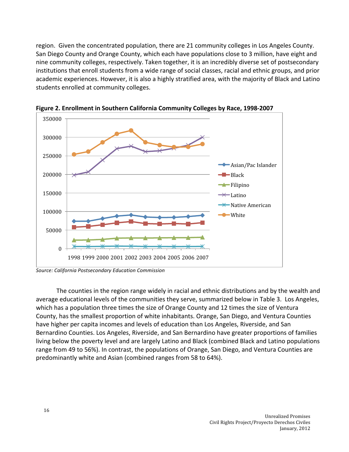region. Given the concentrated population, there are 21 community colleges in Los Angeles County. San Diego County and Orange County, which each have populations close to 3 million, have eight and nine community colleges, respectively. Taken together, it is an incredibly diverse set of postsecondary institutions that enroll students from a wide range of social classes, racial and ethnic groups, and prior academic experiences. However, it is also a highly stratified area, with the majority of Black and Latino students
enrolled
at
community
colleges.



Figure 2. Enrollment in Southern California Community Colleges by Race, 1998-2007

*Source:
California
Postsecondary
Education
Commission* 

The counties in the region range widely in racial and ethnic distributions and by the wealth and average educational levels of the communities they serve, summarized below in Table 3. Los Angeles, which has a population three times the size of Orange County and 12 times the size of Ventura County, has the smallest proportion of white inhabitants. Orange, San Diego, and Ventura Counties have higher per capita incomes and levels of education than Los Angeles, Riverside, and San Bernardino Counties. Los Angeles, Riverside, and San Bernardino have greater proportions of families living below the poverty level and are largely Latino and Black (combined Black and Latino populations range from 49 to 56%). In contrast, the populations of Orange, San Diego, and Ventura Counties are predominantly white and Asian (combined ranges from 58 to 64%).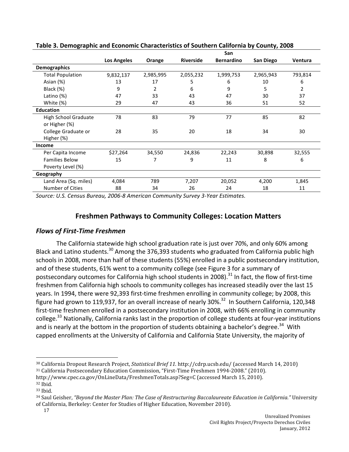|                             |                    |           |                  | San               |           |                |
|-----------------------------|--------------------|-----------|------------------|-------------------|-----------|----------------|
|                             | <b>Los Angeles</b> | Orange    | <b>Riverside</b> | <b>Bernardino</b> | San Diego | <b>Ventura</b> |
| <b>Demographics</b>         |                    |           |                  |                   |           |                |
| <b>Total Population</b>     | 9,832,137          | 2,985,995 | 2,055,232        | 1,999,753         | 2,965,943 | 793,814        |
| Asian (%)                   | 13                 | 17        | 5                | 6                 | 10        | 6              |
| Black (%)                   | 9                  | 2         | 6                | 9                 | 5         | 2              |
| Latino (%)                  | 47                 | 33        | 43               | 47                | 30        | 37             |
| White (%)                   | 29                 | 47        | 43               | 36                | 51        | 52             |
| <b>Education</b>            |                    |           |                  |                   |           |                |
| <b>High School Graduate</b> | 78                 | 83        | 79               | 77                | 85        | 82             |
| or Higher (%)               |                    |           |                  |                   |           |                |
| College Graduate or         | 28                 | 35        | 20               | 18                | 34        | 30             |
| Higher (%)                  |                    |           |                  |                   |           |                |
| Income                      |                    |           |                  |                   |           |                |
| Per Capita Income           | \$27,264           | 34,550    | 24,836           | 22,243            | 30,898    | 32,555         |
| <b>Families Below</b>       | 15                 | 7         | 9                | 11                | 8         | 6              |
| Poverty Level (%)           |                    |           |                  |                   |           |                |
| Geography                   |                    |           |                  |                   |           |                |
| Land Area (Sq. miles)       | 4,084              | 789       | 7,207            | 20,052            | 4,200     | 1,845          |
| <b>Number of Cities</b>     | 88                 | 34        | 26               | 24                | 18        | 11             |

Table 3. Demographic and Economic Characteristics of Southern California by County, 2008

Source: U.S. Census Bureau, 2006-8 American Community Survey 3-Year Estimates.

#### **Freshmen
Pathways
to
Community
Colleges:
Location
Matters**

#### *Flows
of
First‐Time
Freshmen*

The
California
statewide
high
school
graduation
rate
is
just
over
70%,
and
only
60%
among Black and Latino students.<sup>30</sup> Among the 376,393 students who graduated from California public high schools in 2008, more than half of these students (55%) enrolled in a public postsecondary institution, and of these students, 61% went to a community college (see Figure 3 for a summary of postsecondary outcomes for California high school students in 2008).<sup>31</sup> In fact, the flow of first-time freshmen from California high schools to community colleges has increased steadily over the last 15 years. In 1994, there were 92,393 first-time freshmen enrolling in community college; by 2008, this figure had grown to 119,937, for an overall increase of nearly 30%.<sup>32</sup> In Southern California, 120,348 first-time freshmen enrolled in a postsecondary institution in 2008, with 66% enrolling in community college.<sup>33</sup> Nationally, California ranks last in the proportion of college students at four-year institutions and is nearly at the bottom in the proportion of students obtaining a bachelor's degree.<sup>34</sup> With capped enrollments at the University of California and California State University, the majority of

<sup>31</sup> California Postsecondary Education Commission, "First-Time Freshmen 1994-2008." (2010).

<sup>&</sup>lt;sup>30</sup> California Dropout Research Project, Statistical Brief 11. http://cdrp.ucsb.edu/ (accessed March 14, 2010)

http://www.cpec.ca.gov/OnLineData/FreshmenTotals.asp?Seg=C
(accessed
March
15,
2010).

<sup>32</sup>Ibid. 33
Ibid.

<sup>34</sup>Saul
Geisher, *"Beyond
the
Master
Plan:
The
Case
of
Restructuring
Baccalaureate
Education
in
California."* University of
California,
Berkeley:
Center
for
Studies
of
Higher
Education,
November
2010).

<sup>17</sup>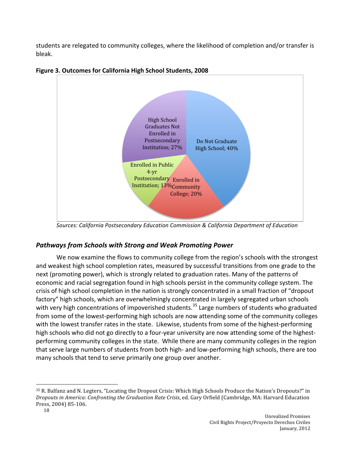students are relegated to community colleges, where the likelihood of completion and/or transfer is bleak.



**Figure
3.
Outcomes
for
California
High
School
Students,
2008**

#### *Pathways
from
Schools
with
Strong
and
Weak
Promoting
Power*

We now examine the flows to community college from the region's schools with the strongest and weakest high school completion rates, measured by successful transitions from one grade to the next (promoting power), which is strongly related to graduation rates. Many of the patterns of economic and racial segregation found in high schools persist in the community college system. The crisis of high school completion in the nation is strongly concentrated in a small fraction of "dropout" factory" high schools, which are overwhelmingly concentrated in largely segregated urban schools with very high concentrations of impoverished students.<sup>35</sup> Large numbers of students who graduated from some of the lowest-performing high schools are now attending some of the community colleges with the lowest transfer rates in the state. Likewise, students from some of the highest-performing high schools who did not go directly to a four-year university are now attending some of the highestperforming community colleges in the state. While there are many community colleges in the region that serve large numbers of students from both high- and low-performing high schools, there are too many schools that tend to serve primarily one group over another.

*Sources:
California
Postsecondary
Education
Commission
&
California
Department
of
Education*

<sup>35</sup> R. Balfanz and N. Legters, "Locating the Dropout Crisis: Which High Schools Produce the Nation's Dropouts?" in Dropouts in America: Confronting the Graduation Rate Crisis, ed. Gary Orfield (Cambridge, MA: Harvard Education Press,
2004)
85‐106.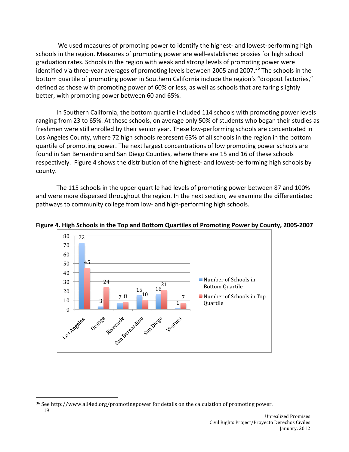We used measures of promoting power to identify the highest- and lowest-performing high schools in the region. Measures of promoting power are well-established proxies for high school graduation rates. Schools in the region with weak and strong levels of promoting power were identified via three-year averages of promoting levels between 2005 and 2007.<sup>36</sup> The schools in the bottom quartile of promoting power in Southern California include the region's "dropout factories," defined as those with promoting power of 60% or less, as well as schools that are faring slightly better,
with
promoting
power
between
60
and
65%.

In Southern California, the bottom quartile included 114 schools with promoting power levels ranging from 23 to 65%. At these schools, on average only 50% of students who began their studies as freshmen were still enrolled by their senior year. These low-performing schools are concentrated in Los Angeles County, where 72 high schools represent 63% of all schools in the region in the bottom quartile of promoting power. The next largest concentrations of low promoting power schools are found in San Bernardino and San Diego Counties, where there are 15 and 16 of these schools respectively. Figure 4 shows the distribution of the highest- and lowest-performing high schools by county.

The 115 schools in the upper quartile had levels of promoting power between 87 and 100% and were more dispersed throughout the region. In the next section, we examine the differentiated pathways
to
community
college
from
low‐
and
high‐performing
high
schools.



Figure 4. High Schools in the Top and Bottom Quartiles of Promoting Power by County, 2005-2007

<sup>19</sup> <sup>36</sup> See http://www.all4ed.org/promotingpower for details on the calculation of promoting power.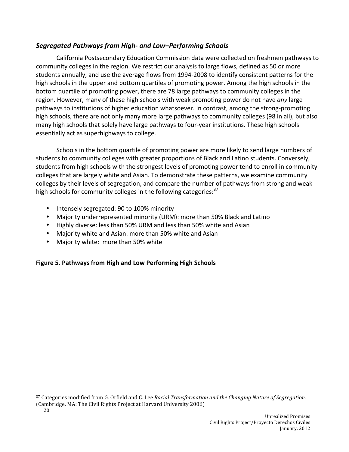#### *Segregated
Pathways
from
High‐
and
Low–Performing
Schools*

California Postsecondary Education Commission data were collected on freshmen pathways to community colleges in the region. We restrict our analysis to large flows, defined as 50 or more students annually, and use the average flows from 1994-2008 to identify consistent patterns for the high schools in the upper and bottom quartiles of promoting power. Among the high schools in the bottom quartile of promoting power, there are 78 large pathways to community colleges in the region. However, many of these high schools with weak promoting power do not have *any* large pathways to institutions of higher education whatsoever. In contrast, among the strong-promoting high schools, there are not only many more large pathways to community colleges (98 in all), but also many high schools that solely have large pathways to four-year institutions. These high schools essentially act as superhighways to college.

Schools in the bottom quartile of promoting power are more likely to send large numbers of students to community colleges with greater proportions of Black and Latino students. Conversely, students from high schools with the strongest levels of promoting power tend to enroll in community colleges that are largely white and Asian. To demonstrate these patterns, we examine community colleges by their levels of segregation, and compare the number of pathways from strong and weak high schools for community colleges in the following categories:<sup>37</sup>

- Intensely segregated: 90 to 100% minority
- Majority underrepresented minority (URM): more than 50% Black and Latino
- Highly diverse: less than 50% URM and less than 50% white and Asian
- Majority white and Asian: more than 50% white and Asian
- Majority white: more than 50% white

#### **Figure
5.
Pathways
from
High
and
Low
Performing
High
Schools**

<sup>37</sup> Categories modified from G. Orfield and C. Lee Racial Transformation and the Changing Nature of Segregation. (Cambridge,
MA:
The
Civil
Rights
Project
at
Harvard
University
2006)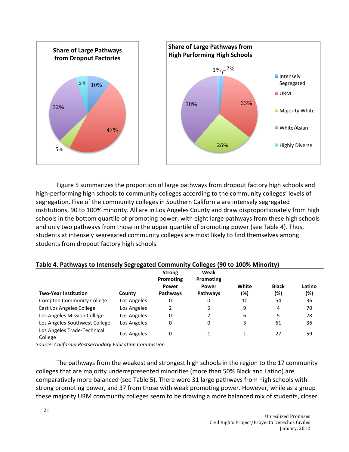

Figure 5 summarizes the proportion of large pathways from dropout factory high schools and high-performing high schools to community colleges according to the community colleges' levels of segregation. Five of the community colleges in Southern California are intensely segregated institutions, 90 to 100% minority. All are in Los Angeles County and draw disproportionately from high schools in the bottom quartile of promoting power, with eight large pathways from these high schools and only two pathways from those in the upper quartile of promoting power (see Table 4). Thus, students at intensely segregated community colleges are most likely to find themselves among students
from
dropout
factory
high
schools.

| <b>Two-Year Institution</b>            | County      | <b>Strong</b><br>Promoting<br><b>Power</b><br>Pathways | Weak<br>Promoting<br>Power<br>Pathways | White<br>(%) | <b>Black</b><br>(%) | Latino<br>(%) |
|----------------------------------------|-------------|--------------------------------------------------------|----------------------------------------|--------------|---------------------|---------------|
| <b>Compton Community College</b>       | Los Angeles | 0                                                      | 0                                      | 10           | 54                  | 36            |
| East Los Angeles College               | Los Angeles |                                                        |                                        | 9            | 4                   | 70            |
| Los Angeles Mission College            | Los Angeles | 0                                                      |                                        | 6            |                     | 78            |
| Los Angeles Southwest College          | Los Angeles | 0                                                      | 0                                      | 3            | 61                  | 36            |
| Los Angeles Trade-Technical<br>College | Los Angeles | 0                                                      |                                        |              | 27                  | 59            |

#### Table 4. Pathways to Intensely Segregated Community Colleges (90 to 100% Minority)

*Source:
California
Postsecondary
Education
Commission*

The pathways from the weakest and strongest high schools in the region to the 17 community colleges that are majority underrepresented minorities (more than 50% Black and Latino) are comparatively more balanced (see Table 5). There were 31 large pathways from high schools with strong promoting power, and 37 from those with weak promoting power. However, while as a group these majority URM community colleges seem to be drawing a more balanced mix of students, closer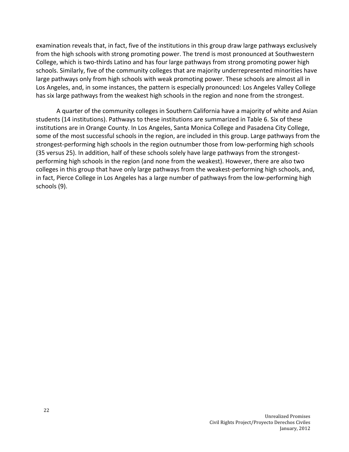examination reveals that, in fact, five of the institutions in this group draw large pathways exclusively from the high schools with strong promoting power. The trend is most pronounced at Southwestern College, which is two-thirds Latino and has four large pathways from strong promoting power high schools. Similarly, five of the community colleges that are majority underrepresented minorities have large pathways only from high schools with weak promoting power. These schools are almost all in Los Angeles, and, in some instances, the pattern is especially pronounced: Los Angeles Valley College has six large pathways from the weakest high schools in the region and none from the strongest.

A quarter of the community colleges in Southern California have a majority of white and Asian students (14 institutions). Pathways to these institutions are summarized in Table 6. Six of these institutions are in Orange County. In Los Angeles, Santa Monica College and Pasadena City College, some of the most successful schools in the region, are included in this group. Large pathways from the strongest-performing high schools in the region outnumber those from low-performing high schools (35
versus
25).
In
addition,
half
of
these
schools
solely
have
large
pathways
from
the
strongest‐ performing high schools in the region (and none from the weakest). However, there are also two colleges in this group that have only large pathways from the weakest-performing high schools, and, in fact, Pierce College in Los Angeles has a large number of pathways from the low-performing high schools
(9).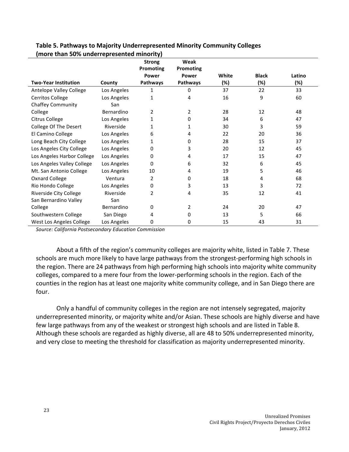| linore than 50% underlepresented influently |             |                                     |                            |       |              |        |  |  |
|---------------------------------------------|-------------|-------------------------------------|----------------------------|-------|--------------|--------|--|--|
|                                             |             | <b>Strong</b><br>Promoting<br>Power | Weak<br>Promoting<br>Power | White | <b>Black</b> | Latino |  |  |
| <b>Two-Year Institution</b>                 | County      | Pathways                            | Pathways                   | (%)   | (%)          | (%)    |  |  |
| Antelope Valley College                     | Los Angeles | 1                                   | 0                          | 37    | 22           | 33     |  |  |
| Cerritos College                            | Los Angeles | 1                                   | 4                          | 16    | 9            | 60     |  |  |
| <b>Chaffey Community</b>                    | San         |                                     |                            |       |              |        |  |  |
| College                                     | Bernardino  | $\overline{2}$                      | 2                          | 28    | 12           | 48     |  |  |
| Citrus College                              | Los Angeles | 1                                   | 0                          | 34    | 6            | 47     |  |  |
| <b>College Of The Desert</b>                | Riverside   | 1                                   | 1                          | 30    | 3            | 59     |  |  |
| El Camino College                           | Los Angeles | 6                                   | 4                          | 22    | 20           | 36     |  |  |
| Long Beach City College                     | Los Angeles | 1                                   | 0                          | 28    | 15           | 37     |  |  |
| Los Angeles City College                    | Los Angeles | 0                                   | 3                          | 20    | 12           | 45     |  |  |
| Los Angeles Harbor College                  | Los Angeles | 0                                   | 4                          | 17    | 15           | 47     |  |  |
| Los Angeles Valley College                  | Los Angeles | 0                                   | 6                          | 32    | 6            | 45     |  |  |
| Mt. San Antonio College                     | Los Angeles | 10                                  | 4                          | 19    | 5            | 46     |  |  |
| <b>Oxnard College</b>                       | Ventura     | 2                                   | 0                          | 18    | 4            | 68     |  |  |
| Rio Hondo College                           | Los Angeles | 0                                   | 3                          | 13    | 3            | 72     |  |  |
| <b>Riverside City College</b>               | Riverside   | 2                                   | 4                          | 35    | 12           | 41     |  |  |
| San Bernardino Valley                       | San         |                                     |                            |       |              |        |  |  |
| College                                     | Bernardino  | 0                                   | 2                          | 24    | 20           | 47     |  |  |
| Southwestern College                        | San Diego   | 4                                   | 0                          | 13    | 5            | 66     |  |  |
| West Los Angeles College                    | Los Angeles | 0                                   | 0                          | 15    | 43           | 31     |  |  |

#### **Table
5.
Pathways
to
Majority
Underrepresented
Minority
Community
Colleges (more
than
50%
underrepresented
minority)**

*Source:
California
Postsecondary
Education
Commission*

About a fifth of the region's community colleges are majority white, listed in Table 7. These schools are much more likely to have large pathways from the strongest-performing high schools in the
region.
There
are
24
pathways
from
high
performing
high
schools
into
majority
white
community colleges, compared to a mere four from the lower-performing schools in the region. Each of the counties in the region has at least one majority white community college, and in San Diego there are four.

Only a handful of community colleges in the region are not intensely segregated, majority underrepresented minority, or majority white and/or Asian. These schools are highly diverse and have few large pathways from any of the weakest or strongest high schools and are listed in Table 8. Although these schools are regarded as highly diverse, all are 48 to 50% underrepresented minority, and very close to meeting the threshold for classification as majority underrepresented minority.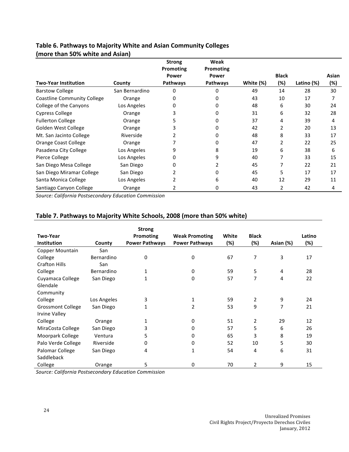|                                    |                | <b>Strong</b><br>Promoting<br>Power | Weak<br><b>Promoting</b><br>Power |           | <b>Black</b> |            | Asian |
|------------------------------------|----------------|-------------------------------------|-----------------------------------|-----------|--------------|------------|-------|
| <b>Two-Year Institution</b>        | County         | Pathways                            | Pathways                          | White (%) | (%)          | Latino (%) | (%)   |
| <b>Barstow College</b>             | San Bernardino | U                                   | 0                                 | 49        | 14           | 28         | 30    |
| <b>Coastline Community College</b> | Orange         |                                     |                                   | 43        | 10           | 17         |       |
| College of the Canyons             | Los Angeles    | 0                                   |                                   | 48        | 6            | 30         | 24    |
| <b>Cypress College</b>             | Orange         | 3                                   | 0                                 | 31        | 6            | 32         | 28    |
| <b>Fullerton College</b>           | Orange         | 5                                   | 0                                 | 37        | 4            | 39         | 4     |
| Golden West College                | Orange         | 3                                   | U                                 | 42        | 2            | 20         | 13    |
| Mt. San Jacinto College            | Riverside      |                                     | 0                                 | 48        | 8            | 33         | 17    |
| <b>Orange Coast College</b>        | Orange         |                                     | 0                                 | 47        | 2            | 22         | 25    |
| Pasadena City College              | Los Angeles    | 9                                   | 8                                 | 19        | 6            | 38         | 6     |
| Pierce College                     | Los Angeles    | 0                                   | 9                                 | 40        | 7            | 33         | 15    |
| San Diego Mesa College             | San Diego      | 0                                   |                                   | 45        |              | 22         | 21    |
| San Diego Miramar College          | San Diego      |                                     | O                                 | 45        | 5            | 17         | 17    |
| Santa Monica College               | Los Angeles    |                                     | 6                                 | 40        | 12           | 29         | 11    |
| Santiago Canyon College            | Orange         | 2                                   | 0                                 | 43        | 2            | 42         | 4     |

#### **Table
6.
Pathways
to
Majority
White
and
Asian
Community
Colleges (more
than
50%
white
and
Asian)**

*Source:
California
Postsecondary
Education
Commission*

#### **Table
7.
Pathways
to
Majority
White
Schools,
2008
(more
than
50%
white)**

| <b>Two-Year</b><br>Institution            | County      | <b>Strong</b><br>Promoting<br><b>Power Pathways</b> | <b>Weak Promoting</b><br><b>Power Pathways</b> | White<br>(%) | <b>Black</b><br>(%) | Asian (%) | Latino<br>(%) |
|-------------------------------------------|-------------|-----------------------------------------------------|------------------------------------------------|--------------|---------------------|-----------|---------------|
| Copper Mountain                           | San         |                                                     |                                                |              |                     |           |               |
| College                                   | Bernardino  | $\Omega$                                            | $\Omega$                                       | 67           | 7                   | 3         | 17            |
| <b>Crafton Hills</b>                      | San         |                                                     |                                                |              |                     |           |               |
| College                                   | Bernardino  | 1                                                   | 0                                              | 59           | 5                   | 4         | 28            |
| Cuyamaca College                          | San Diego   | 1                                                   | 0                                              | 57           | 7                   | 4         | 22            |
| Glendale                                  |             |                                                     |                                                |              |                     |           |               |
| Community                                 |             |                                                     |                                                |              |                     |           |               |
| College                                   | Los Angeles | 3                                                   | 1                                              | 59           | 2                   | 9         | 24            |
| <b>Grossmont College</b><br>Irvine Valley | San Diego   | 1                                                   | 2                                              | 53           | 9                   | 7         | 21            |
| College                                   | Orange      | 1                                                   | 0                                              | 51           | 2                   | 29        | 12            |
| MiraCosta College                         | San Diego   | 3                                                   | 0                                              | 57           | 5                   | 6         | 26            |
| Moorpark College                          | Ventura     | 5                                                   | 0                                              | 65           | 3                   | 8         | 19            |
| Palo Verde College                        | Riverside   | 0                                                   | $\Omega$                                       | 52           | 10                  | 5         | 30            |
| Palomar College                           | San Diego   | 4                                                   | 1                                              | 54           | 4                   | 6         | 31            |
| Saddleback                                |             |                                                     |                                                |              |                     |           |               |
| College                                   | Orange      | 5                                                   | 0                                              | 70           | 2                   | 9         | 15            |

*Source:
California
Postsecondary
Education
Commission*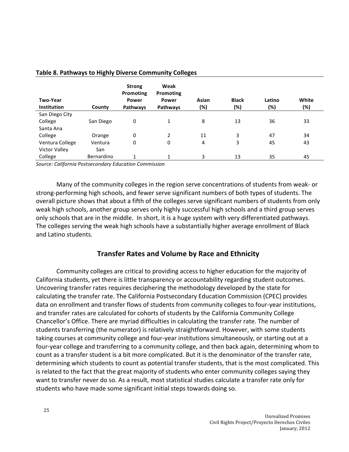| <b>Two-Year</b><br><b>Institution</b> | County     | <b>Strong</b><br>Promoting<br>Power<br>Pathways | Weak<br>Promoting<br><b>Power</b><br>Pathways | Asian<br>(%) | <b>Black</b><br>(%) | Latino<br>(%) | White<br>(%) |
|---------------------------------------|------------|-------------------------------------------------|-----------------------------------------------|--------------|---------------------|---------------|--------------|
| San Diego City                        |            |                                                 |                                               |              |                     |               |              |
| College                               | San Diego  | 0                                               | 1                                             | 8            | 13                  | 36            | 33           |
| Santa Ana                             |            |                                                 |                                               |              |                     |               |              |
| College                               | Orange     | 0                                               | $\overline{2}$                                | 11           | 3                   | 47            | 34           |
| Ventura College                       | Ventura    | 0                                               | 0                                             | 4            | 3                   | 45            | 43           |
| <b>Victor Valley</b>                  | San        |                                                 |                                               |              |                     |               |              |
| College                               | Bernardino | 4                                               | $\mathbf{1}$                                  | 3            | 13                  | 35            | 45           |

#### **Table
8.
Pathways
to
Highly
Diverse
Community
Colleges**

*Source:
California
Postsecondary
Education
Commission*

Many of the community colleges in the region serve concentrations of students from weak- or strong-performing high schools, and fewer serve significant numbers of both types of students. The overall picture shows that about a fifth of the colleges serve significant numbers of students from only weak high schools, another group serves only highly successful high schools and a third group serves only schools that are in the middle. In short, it is a huge system with very differentiated pathways. The
colleges
serving
the
weak
high
schools
have
a
substantially
higher
average
enrollment
of
Black and
Latino
students.

#### **Transfer
Rates
and
Volume
by
Race
and
Ethnicity**

Community colleges are critical to providing access to higher education for the majority of California students, yet there is little transparency or accountability regarding student outcomes. Uncovering transfer rates requires deciphering the methodology developed by the state for calculating the transfer rate. The California Postsecondary Education Commission (CPEC) provides data on enrollment and transfer flows of students from community colleges to four-year institutions, and transfer rates are calculated for cohorts of students by the California Community College Chancellor's Office. There are myriad difficulties in calculating the transfer rate. The number of students transferring (the numerator) is relatively straightforward. However, with some students taking courses at community college and four-year institutions simultaneously, or starting out at a four-year college and transferring to a community college, and then back again, determining whom to count as a transfer student is a bit more complicated. But it is the denominator of the transfer rate, determining which students to count as potential transfer students, that is the most complicated. This is related to the fact that the great majority of students who enter community colleges saying they want to transfer never do so. As a result, most statistical studies calculate a transfer rate only for students who have made some significant initial steps towards doing so.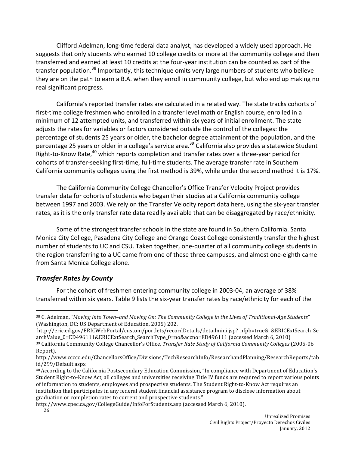Clifford Adelman, long-time federal data analyst, has developed a widely used approach. He suggests that only students who earned 10 college credits or more at the community college and then transferred and earned at least 10 credits at the four-year institution can be counted as part of the transfer population.<sup>38</sup> Importantly, this technique omits very large numbers of students who believe they are on the path to earn a B.A. when they enroll in community college, but who end up making no real
significant
progress.

California's reported transfer rates are calculated in a related way. The state tracks cohorts of first-time college freshmen who enrolled in a transfer level math or English course, enrolled in a minimum of 12 attempted units, and transferred within six years of initial enrollment. The state adjusts the rates for variables or factors considered outside the control of the colleges: the percentage of students 25 years or older, the bachelor degree attainment of the population, and the percentage 25 years or older in a college's service area.<sup>39</sup> California also provides a statewide Student Right-to-Know Rate,<sup>40</sup> which reports completion and transfer rates over a three-year period for cohorts of transfer-seeking first-time, full-time students. The average transfer rate in Southern California community colleges using the first method is 39%, while under the second method it is 17%.

The
California
Community
College
Chancellor's
Office
Transfer
Velocity
Project
provides transfer data for cohorts of students who began their studies at a California community college between 1997 and 2003. We rely on the Transfer Velocity report data here, using the six-year transfer rates, as it is the only transfer rate data readily available that can be disaggregated by race/ethnicity.

Some of the strongest transfer schools in the state are found in Southern California. Santa Monica City College, Pasadena City College and Orange Coast College consistently transfer the highest number of students to UC and CSU. Taken together, one-quarter of all community college students in the region transferring to a UC came from one of these three campuses, and almost one-eighth came from
Santa
Monica
College
alone.

#### *Transfer
Rates
by
County*

For the cohort of freshmen entering community college in 2003-04, an average of 38% transferred within six years. Table 9 lists the six-year transfer rates by race/ethnicity for each of the

<sup>&</sup>lt;sup>38</sup> C. Adelman, "Moving into Town-and Moving On: The Community College in the Lives of Traditional-Age Students" (Washington,
DC:
US
Department
of
Education,
2005)
202.

http://eric.ed.gov/ERICWebPortal/custom/portlets/recordDetails/detailmini.jsp?\_nfpb=true&\_&ERICExtSearch\_Se archValue 0=ED496111&ERICExtSearch SearchType 0=no&accno=ED496111 (accessed March 6, 2010) 39
California
Community
College
Chancellor's
Office, *Transfer
Rate
Study
of
California
Community
Colleges*(2005‐06 Report).

http://www.cccco.edu/ChancellorsOffice/Divisions/TechResearchInfo/ResearchandPlanning/ResearchReports/tab id/299/Default.aspx

<sup>&</sup>lt;sup>40</sup> According to the California Postsecondary Education Commission, "In compliance with Department of Education's Student Right-to-Know Act, all colleges and universities receiving Title IV funds are required to report various points of information to students, employees and prospective students. The Student Right-to-Know Act requires an institution that participates in any federal student financial assistance program to disclose information about graduation or completion rates to current and prospective students."

<sup>26</sup> http://www.cpec.ca.gov/CollegeGuide/InfoForStudents.asp
(accessed
March
6,
2010).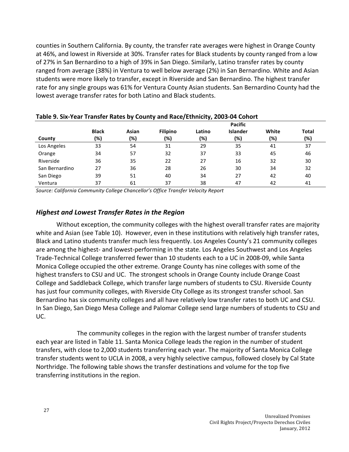counties in Southern California. By county, the transfer rate averages were highest in Orange County at 46%, and lowest in Riverside at 30%. Transfer rates for Black students by county ranged from a low of 27% in San Bernardino to a high of 39% in San Diego. Similarly, Latino transfer rates by county ranged from average (38%) in Ventura to well below average (2%) in San Bernardino. White and Asian students were more likely to transfer, except in Riverside and San Bernardino. The highest transfer rate for any single groups was 61% for Ventura County Asian students. San Bernardino County had the lowest average transfer rates for both Latino and Black students.

|                | <b>Black</b> | Asian | <b>Filipino</b> | Latino | <b>Islander</b> | White | <b>Total</b> |
|----------------|--------------|-------|-----------------|--------|-----------------|-------|--------------|
| County         | (%)          | (%)   | (%)             | (%)    | (%)             | (%)   | (%)          |
| Los Angeles    | 33           | 54    | 31              | 29     | 35              | 41    | 37           |
| Orange         | 34           | 57    | 32              | 37     | 33              | 45    | 46           |
| Riverside      | 36           | 35    | 22              | 27     | 16              | 32    | 30           |
| San Bernardino | 27           | 36    | 28              | 26     | 30              | 34    | 32           |
| San Diego      | 39           | 51    | 40              | 34     | 27              | 42    | 40           |
| Ventura        | 37           | 61    | 37              | 38     | 47              | 42    | 41           |

#### Table 9, Six-Year Transfer Rates by County and Race/Ethnicity, 2003-04 Cohort

*Source:
California
Community
College
Chancellor's
Office
Transfer
Velocity
Report*

#### *Highest
and
Lowest
Transfer
Rates
in
the
Region*

Without exception, the community colleges with the highest overall transfer rates are majority white and Asian (see Table 10). However, even in these institutions with relatively high transfer rates, Black and Latino students transfer much less frequently. Los Angeles County's 21 community colleges are among the highest- and lowest-performing in the state. Los Angeles Southwest and Los Angeles Trade-Technical College transferred fewer than 10 students each to a UC in 2008-09, while Santa Monica College occupied the other extreme. Orange County has nine colleges with some of the highest transfers to CSU and UC. The strongest schools in Orange County include Orange Coast College and Saddleback College, which transfer large numbers of students to CSU. Riverside County has just four community colleges, with Riverside City College as its strongest transfer school. San Bernardino has six community colleges and all have relatively low transfer rates to both UC and CSU. In San Diego, San Diego Mesa College and Palomar College send large numbers of students to CSU and UC.

The community colleges in the region with the largest number of transfer students each year are listed in Table 11. Santa Monica College leads the region in the number of student transfers, with close to 2,000 students transferring each year. The majority of Santa Monica College transfer students went to UCLA in 2008, a very highly selective campus, followed closely by Cal State Northridge. The following table shows the transfer destinations and volume for the top five transferring
institutions
in
the
region.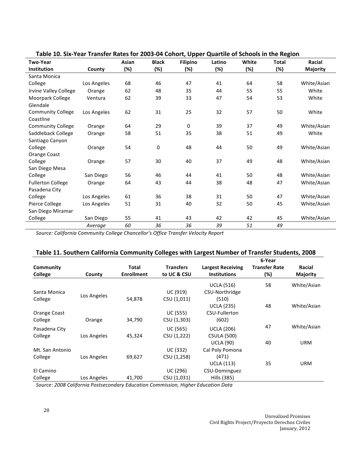| Table ID. Six-Teal Transfer Kates for 2005-04 Conort, Opper Quartile of Schools in the Keglon |             |       |              |                 |        |       |              |                 |
|-----------------------------------------------------------------------------------------------|-------------|-------|--------------|-----------------|--------|-------|--------------|-----------------|
| <b>Two-Year</b>                                                                               |             | Asian | <b>Black</b> | <b>Filipino</b> | Latino | White | <b>Total</b> | Racial          |
| <b>Institution</b>                                                                            | County      | (%)   | (%)          | $(\%)$          | (%)    | (%)   | (%)          | <b>Majority</b> |
| Santa Monica                                                                                  |             |       |              |                 |        |       |              |                 |
| College                                                                                       | Los Angeles | 68    | 46           | 47              | 41     | 64    | 58           | White/Asian     |
| Irvine Valley College                                                                         | Orange      | 62    | 48           | 35              | 44     | 55    | 55           | White           |
| Moorpark College                                                                              | Ventura     | 62    | 39           | 33              | 47     | 54    | 53           | White           |
| Glendale                                                                                      |             |       |              |                 |        |       |              |                 |
| <b>Community College</b>                                                                      | Los Angeles | 62    | 31           | 25              | 32     | 57    | 50           | White           |
| Coastline                                                                                     |             |       |              |                 |        |       |              |                 |
| <b>Community College</b>                                                                      | Orange      | 64    | 29           | 0               | 39     | 37    | 49           | White/Asian     |
| Saddleback College                                                                            | Orange      | 58    | 51           | 35              | 38     | 51    | 49           | White           |
| Santiago Canyon                                                                               |             |       |              |                 |        |       |              |                 |
| College                                                                                       | Orange      | 54    | 0            | 48              | 44     | 50    | 49           | White/Asian     |
| Orange Coast                                                                                  |             |       |              |                 |        |       |              |                 |
| College                                                                                       | Orange      | 57    | 30           | 40              | 37     | 49    | 48           | White/Asian     |
| San Diego Mesa                                                                                |             |       |              |                 |        |       |              |                 |
| College                                                                                       | San Diego   | 56    | 46           | 44              | 41     | 50    | 48           | White/Asian     |
| <b>Fullerton College</b>                                                                      | Orange      | 64    | 43           | 44              | 38     | 48    | 47           | White/Asian     |
| Pasadena City                                                                                 |             |       |              |                 |        |       |              |                 |
| College                                                                                       | Los Angeles | 61    | 36           | 38              | 31     | 50    | 47           | White/Asian     |
| Pierce College                                                                                | Los Angeles | 51    | 31           | 40              | 32     | 50    | 45           | White/Asian     |
| San Diego Miramar                                                                             |             |       |              |                 |        |       |              |                 |
| College                                                                                       | San Diego   | 55    | 41           | 43              | 42     | 42    | 45           | White/Asian     |
|                                                                                               | Average     | 60    | 36           | 36              | 39     | 51    | 49           |                 |

#### Table 10. Six-Vear Transfer Rates for 2003-04 Cohort, Upper Quartile of Schools in the Region

*Source:
California
Community
College
Chancellor's
Office
Transfer
Velocity
Report*

#### **Table
11.
Southern
California
Community
Colleges
with
Largest
Number
of
Transfer
Students,
2008**

|             |                   |                  |                          | 6-Year               |             |
|-------------|-------------------|------------------|--------------------------|----------------------|-------------|
|             | <b>Total</b>      | <b>Transfers</b> | <b>Largest Receiving</b> | <b>Transfer Rate</b> | Racial      |
| County      | <b>Enrollment</b> | to UC & CSU      | <b>Institutions</b>      | (%)                  | Majority    |
|             |                   |                  | <b>UCLA (516)</b>        | 58                   | White/Asian |
|             |                   | UC (919)         | CSU-Northridge           |                      |             |
|             | 54,878            | CSU (1,011)      | (510)                    |                      |             |
|             |                   |                  | <b>UCLA (235)</b>        | 48                   | White/Asian |
|             |                   | <b>UC (555)</b>  | CSU-Fullerton            |                      |             |
| Orange      | 34,790            | CSU (1,303)      | (602)                    |                      |             |
|             |                   | <b>UC (565)</b>  | <b>UCLA (206)</b>        | 47                   | White/Asian |
| Los Angeles | 45,324            | CSU (1,222)      | <b>CSULA (500)</b>       |                      |             |
|             |                   |                  | <b>UCLA (90)</b>         | 40                   | <b>URM</b>  |
|             |                   | <b>UC (332)</b>  | Cal Poly Pomona          |                      |             |
| Los Angeles | 69,627            | CSU (1,258)      | (471)                    |                      |             |
|             |                   |                  | <b>UCLA (113)</b>        | 35                   | <b>URM</b>  |
|             |                   | UC (296)         | CSU-Dominguez            |                      |             |
| Los Angeles | 41,700            | CSU (1,031)      | Hills (385)              |                      |             |
|             | Los Angeles       |                  |                          |                      |             |

*Source:
2008
California
Postsecondary
Education
Commission,
Higher
Education
Data*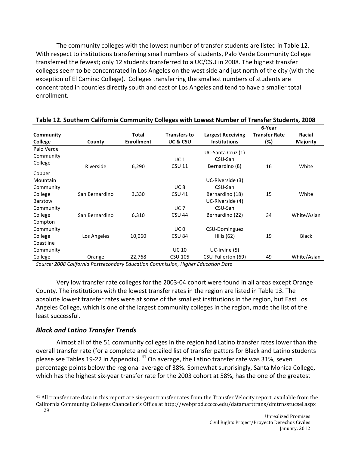The community colleges with the lowest number of transfer students are listed in Table 12. With respect to institutions transferring small numbers of students, Palo Verde Community College transferred the fewest; only 12 students transferred to a UC/CSU in 2008. The highest transfer colleges seem to be concentrated in Los Angeles on the west side and just north of the city (with the exception of El Camino College). Colleges transferring the smallest numbers of students are concentrated in counties directly south and east of Los Angeles and tend to have a smaller total enrollment.

|                |                |                   |                     |                          | 6-Year               |              |
|----------------|----------------|-------------------|---------------------|--------------------------|----------------------|--------------|
| Community      |                | <b>Total</b>      | <b>Transfers to</b> | <b>Largest Receiving</b> | <b>Transfer Rate</b> | Racial       |
| College        | County         | <b>Enrollment</b> | UC&CSU              | <b>Institutions</b>      | (%)                  | Majority     |
| Palo Verde     |                |                   |                     |                          |                      |              |
| Community      |                |                   |                     | UC-Santa Cruz (1)        |                      |              |
| College        |                |                   | UC <sub>1</sub>     | CSU-San                  |                      |              |
|                | Riverside      | 6,290             | <b>CSU 11</b>       | Bernardino (8)           | 16                   | White        |
| Copper         |                |                   |                     |                          |                      |              |
| Mountain       |                |                   |                     | UC-Riverside (3)         |                      |              |
| Community      |                |                   | UC <sub>8</sub>     | CSU-San                  |                      |              |
| College        | San Bernardino | 3,330             | <b>CSU 41</b>       | Bernardino (18)          | 15                   | White        |
| <b>Barstow</b> |                |                   |                     | UC-Riverside (4)         |                      |              |
| Community      |                |                   | <b>UC 7</b>         | CSU-San                  |                      |              |
| College        | San Bernardino | 6,310             | <b>CSU 44</b>       | Bernardino (22)          | 34                   | White/Asian  |
| Compton        |                |                   |                     |                          |                      |              |
| Community      |                |                   | UC <sub>0</sub>     | CSU-Dominguez            |                      |              |
| College        | Los Angeles    | 10,060            | <b>CSU 84</b>       | Hills $(62)$             | 19                   | <b>Black</b> |
| Coastline      |                |                   |                     |                          |                      |              |
| Community      |                |                   | <b>UC 10</b>        | UC-Irvine (5)            |                      |              |
| College        | Orange         | 22,768            | <b>CSU 105</b>      | CSU-Fullerton (69)       | 49                   | White/Asian  |

### Table 12, Southern California Community Colleges with Lowest Number of Transfer Students, 2008

*Source:
2008
California
Postsecondary
Education
Commission,
Higher
Education
Data*

Very low transfer rate colleges for the 2003-04 cohort were found in all areas except Orange County. The institutions with the lowest transfer rates in the region are listed in Table 13. The absolute lowest transfer rates were at some of the smallest institutions in the region, but East Los Angeles College, which is one of the largest community colleges in the region, made the list of the least
successful.

#### *Black
and
Latino
Transfer
Trends*

Almost all of the 51 community colleges in the region had Latino transfer rates lower than the overall transfer rate (for a complete and detailed list of transfer patters for Black and Latino students please see Tables 19-22 in Appendix). <sup>41</sup> On average, the Latino transfer rate was 31%, seven percentage points below the regional average of 38%. Somewhat surprisingly, Santa Monica College, which has the highest six-year transfer rate for the 2003 cohort at 58%, has the one of the greatest

<sup>&</sup>lt;sup>41</sup> All transfer rate data in this report are six-year transfer rates from the Transfer Velocity report, available from the California
Community
Colleges
Chancellor's
Office
at
http://webprod.cccco.edu/datamarttrans/dmtrnsstucsel.aspx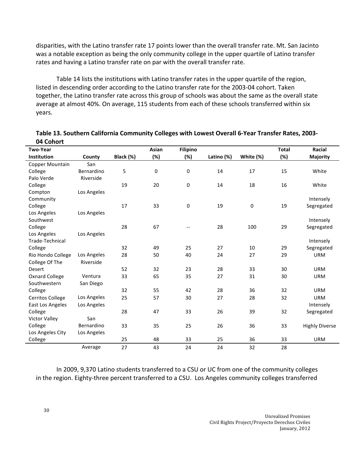disparities, with the Latino transfer rate 17 points lower than the overall transfer rate. Mt. San Jacinto was a notable exception as being the only community college in the upper quartile of Latino transfer rates and having a Latino transfer rate on par with the overall transfer rate.

Table 14 lists the institutions with Latino transfer rates in the upper quartile of the region, listed in descending order according to the Latino transfer rate for the 2003-04 cohort. Taken together, the Latino transfer rate across this group of schools was about the same as the overall state average at almost 40%. On average, 115 students from each of these schools transferred within six years.

| יטווטידט<br><b>Two-Year</b> |             |           | Asian | <b>Filipino</b> |            |           | <b>Total</b> | Racial                |
|-----------------------------|-------------|-----------|-------|-----------------|------------|-----------|--------------|-----------------------|
| Institution                 | County      | Black (%) | (%)   | (%)             | Latino (%) | White (%) | (%)          | <b>Majority</b>       |
| Copper Mountain             | San         |           |       |                 |            |           |              |                       |
| College                     | Bernardino  | 5         | 0     | 0               | 14         | 17        | 15           | White                 |
| Palo Verde                  | Riverside   |           |       |                 |            |           |              |                       |
| College                     |             | 19        | 20    | $\mathbf 0$     | 14         | 18        | 16           | White                 |
| Compton                     | Los Angeles |           |       |                 |            |           |              |                       |
| Community                   |             |           |       |                 |            |           |              | Intensely             |
| College                     |             | 17        | 33    | 0               | 19         | $\pmb{0}$ | 19           | Segregated            |
| Los Angeles                 | Los Angeles |           |       |                 |            |           |              |                       |
| Southwest                   |             |           |       |                 |            |           |              | Intensely             |
| College                     |             | 28        | 67    |                 | 28         | 100       | 29           | Segregated            |
| Los Angeles                 | Los Angeles |           |       |                 |            |           |              |                       |
| Trade-Technical             |             |           |       |                 |            |           |              | Intensely             |
| College                     |             | 32        | 49    | 25              | 27         | 10        | 29           | Segregated            |
| Rio Hondo College           | Los Angeles | 28        | 50    | 40              | 24         | 27        | 29           | <b>URM</b>            |
| College Of The              | Riverside   |           |       |                 |            |           |              |                       |
| Desert                      |             | 52        | 32    | 23              | 28         | 33        | 30           | <b>URM</b>            |
| <b>Oxnard College</b>       | Ventura     | 33        | 65    | 35              | 27         | 31        | 30           | <b>URM</b>            |
| Southwestern                | San Diego   |           |       |                 |            |           |              |                       |
| College                     |             | 32        | 55    | 42              | 28         | 36        | 32           | <b>URM</b>            |
| Cerritos College            | Los Angeles | 25        | 57    | 30              | 27         | 28        | 32           | <b>URM</b>            |
| East Los Angeles            | Los Angeles |           |       |                 |            |           |              | Intensely             |
| College                     |             | 28        | 47    | 33              | 26         | 39        | 32           | Segregated            |
| <b>Victor Valley</b>        | San         |           |       |                 |            |           |              |                       |
| College                     | Bernardino  | 33        | 35    | 25              | 26         | 36        | 33           | <b>Highly Diverse</b> |
| Los Angeles City            | Los Angeles |           |       |                 |            |           |              |                       |
| College                     |             | 25        | 48    | 33              | 25         | 36        | 33           | <b>URM</b>            |
|                             | Average     | 27        | 43    | 24              | 24         | 32        | 28           |                       |

Table 13. Southern California Community Colleges with Lowest Overall 6-Year Transfer Rates, 2003-**04
Cohort**

In 2009, 9,370 Latino students transferred to a CSU or UC from one of the community colleges in the region. Eighty-three percent transferred to a CSU. Los Angeles community colleges transferred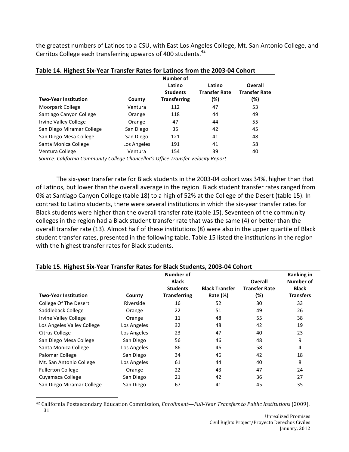the greatest numbers of Latinos to a CSU, with East Los Angeles College, Mt. San Antonio College, and Cerritos College each transferring upwards of 400 students.<sup>42</sup>

|                                    |                                                     | <b>Number of</b>    |                                    |                      |
|------------------------------------|-----------------------------------------------------|---------------------|------------------------------------|----------------------|
|                                    |                                                     | Latino              | Latino                             | Overall              |
|                                    |                                                     | <b>Students</b>     | <b>Transfer Rate</b>               | <b>Transfer Rate</b> |
| <b>Two-Year Institution</b>        | County                                              | <b>Transferring</b> | (%)                                | (%)                  |
| Moorpark College                   | Ventura                                             | 112                 | 47                                 | 53                   |
| Santiago Canyon College            | Orange                                              | 118                 | 44                                 | 49                   |
| Irvine Valley College              | Orange                                              | 47                  | 44                                 | 55                   |
| San Diego Miramar College          | San Diego                                           | 35                  | 42                                 | 45                   |
| San Diego Mesa College             | San Diego                                           | 121                 | 41                                 | 48                   |
| Santa Monica College               | Los Angeles                                         | 191                 | 41                                 | 58                   |
| Ventura College                    | Ventura                                             | 154                 | 39                                 | 40                   |
| $\sim$ $\sim$ $\sim$ $\sim$ $\sim$ | $\mathbf{a}$ $\mathbf{a}$ $\mathbf{b}$ $\mathbf{c}$ |                     | $\sim$ $\sim$ $\sim$ $\sim$ $\sim$ |                      |

| Table 14. Highest Six-Year Transfer Rates for Latinos from the 2003-04 Cohort |  |
|-------------------------------------------------------------------------------|--|
|-------------------------------------------------------------------------------|--|

*Source:
California
Community
College
Chancellor's
Office
Transfer
Velocity
Report*

The six-year transfer rate for Black students in the 2003-04 cohort was 34%, higher than that of Latinos, but lower than the overall average in the region. Black student transfer rates ranged from 0% at Santiago Canyon College (table 18) to a high of 52% at the College of the Desert (table 15). In contrast to Latino students, there were several institutions in which the six-year transfer rates for Black students were higher than the overall transfer rate (table 15). Seventeen of the community colleges in the region had a Black student transfer rate that was the same (4) or better than the overall transfer rate (13). Almost half of these institutions (8) were also in the upper quartile of Black student transfer rates, presented in the following table. Table 15 listed the institutions in the region with the highest transfer rates for Black students.

#### **Two‐Year
Institution County Number
of Black Students Transferring Black
Transfer Rate
(%) Overall Transfer
Rate (%) Ranking
in Number
of Black Transfers** College
Of
The
Desert Riverside 16 52 30 33 Saddleback College Corange 22 51 49 26 Irvine
Valley
College Orange 11 48 55 38 Los
Angeles
Valley
College Los
Angeles 32 48 42 19 Citrus
College Los
Angeles 23 47 40 23 San Diego Mesa College San Diego 56 56 46 48 9 9 Santa Monica College Los Angeles 86 46 58 58 4 Palomar
College San
Diego 34 46 42 18 Mt. San Antonio College Los Angeles 61 44 40 8 Fullerton College **Communication** Corange **22** 43 47 24 Cuyamaca
College San
Diego 21 42 36 27 San
Diego
Miramar
College San
Diego 67 41 45 35

#### **Table
15.
Highest
Six‐Year
Transfer
Rates
for
Black
Students,
2003‐04
Cohort**

31 42
California
Postsecondary
Education
Commission, *Enrollment—FullYear
Transfers
to
Public
Institutions* (2009).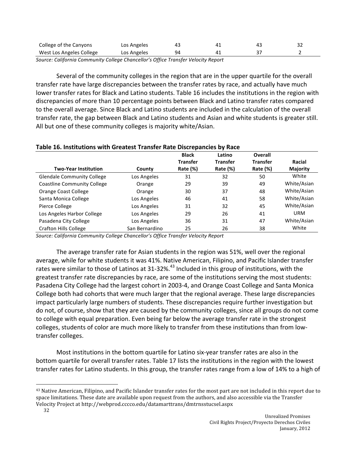| College of the Canyons   | Los Angeles |  |  |
|--------------------------|-------------|--|--|
| West Los Angeles College | Los Angeles |  |  |
| $  -$                    | $ -$        |  |  |

*Source:
California
Community
College
Chancellor's
Office
Transfer
Velocity
Report*

Several of the community colleges in the region that are in the upper quartile for the overall transfer rate have large discrepancies between the transfer rates by race, and actually have much lower transfer rates for Black and Latino students. Table 16 includes the institutions in the region with discrepancies of more than 10 percentage points between Black and Latino transfer rates compared to the overall average. Since Black and Latino students are included in the calculation of the overall transfer
rate,
the
gap
between
Black
and
Latino
students
and
Asian
and
white
students
is
greater
still. All
but
one
of
these
community
colleges
is
majority
white/Asian.

|                                    |                | <b>Black</b>    | Latino          | Overall         |                 |
|------------------------------------|----------------|-----------------|-----------------|-----------------|-----------------|
|                                    |                | <b>Transfer</b> | <b>Transfer</b> | <b>Transfer</b> | Racial          |
| <b>Two-Year Institution</b>        | County         | Rate $(\%)$     | Rate $(\%)$     | Rate $(\%)$     | <b>Majority</b> |
| <b>Glendale Community College</b>  | Los Angeles    | 31              | 32              | 50              | White           |
| <b>Coastline Community College</b> | Orange         | 29              | 39              | 49              | White/Asian     |
| Orange Coast College               | Orange         | 30              | 37              | 48              | White/Asian     |
| Santa Monica College               | Los Angeles    | 46              | 41              | 58              | White/Asian     |
| Pierce College                     | Los Angeles    | 31              | 32              | 45              | White/Asian     |
| Los Angeles Harbor College         | Los Angeles    | 29              | 26              | 41              | <b>URM</b>      |
| Pasadena City College              | Los Angeles    | 36              | 31              | 47              | White/Asian     |
| <b>Crafton Hills College</b>       | San Bernardino | 25              | 26              | 38              | White           |

#### **Table
16.
Institutions
with
Greatest
Transfer
Rate
Discrepancies
by
Race**

*Source:
California
Community
College
Chancellor's
Office
Transfer
Velocity
Report*

The average transfer rate for Asian students in the region was 51%, well over the regional average, while for white students it was 41%. Native American, Filipino, and Pacific Islander transfer rates were similar to those of Latinos at 31-32%.<sup>43</sup> Included in this group of institutions, with the greatest transfer rate discrepancies by race, are some of the institutions serving the most students: Pasadena City College had the largest cohort in 2003-4, and Orange Coast College and Santa Monica College both had cohorts that were much larger that the regional average. These large discrepancies impact particularly large numbers of students. These discrepancies require further investigation but do not, of course, show that they are caused by the community colleges, since all groups do not come to college with equal preparation. Even being far below the average transfer rate in the strongest colleges, students of color are much more likely to transfer from these institutions than from lowtransfer
colleges.

Most institutions in the bottom quartile for Latino six-year transfer rates are also in the bottom quartile for overall transfer rates. Table 17 lists the institutions in the region with the lowest transfer rates for Latino students. In this group, the transfer rates range from a low of 14% to a high of

32

<sup>&</sup>lt;sup>43</sup> Native American, Filipino, and Pacific Islander transfer rates for the most part are not included in this report due to space limitations. These date are available upon request from the authors, and also accessible via the Transfer Velocity
Project
at
http://webprod.cccco.edu/datamarttrans/dmtrnsstucsel.aspx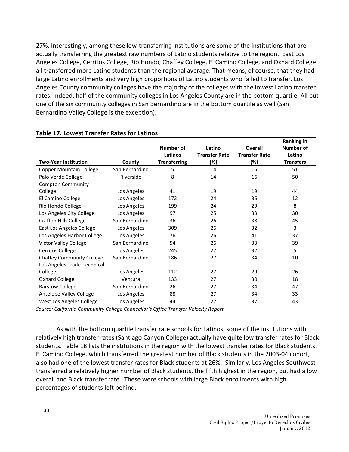27%. Interestingly, among these low-transferring institutions are some of the institutions that are actually transferring the greatest raw numbers of Latino students relative to the region. East Los Angeles College, Cerritos College, Rio Hondo, Chaffey College, El Camino College, and Oxnard College all transferred more Latino students than the regional average. That means, of course, that they had large Latino enrollments and very high proportions of Latino students who failed to transfer. Los Angeles County community colleges have the majority of the colleges with the lowest Latino transfer rates. Indeed, half of the community colleges in Los Angeles County are in the bottom quartile. All but one of the six community colleges in San Bernardino are in the bottom quartile as well (San Bernardino
Valley
College
is
the
exception).

|                                  |                |                     |                      |                      | <b>Ranking in</b> |
|----------------------------------|----------------|---------------------|----------------------|----------------------|-------------------|
|                                  |                | Number of           | Latino               | Overall              | Number of         |
|                                  |                | Latinos             | <b>Transfer Rate</b> | <b>Transfer Rate</b> | Latino            |
| <b>Two-Year Institution</b>      | County         | <b>Transferring</b> | (%)                  | (%)                  | <b>Transfers</b>  |
| <b>Copper Mountain College</b>   | San Bernardino | 5                   | 14                   | 15                   | 51                |
| Palo Verde College               | Riverside      | 8                   | 14                   | 16                   | 50                |
| <b>Compton Community</b>         |                |                     |                      |                      |                   |
| College                          | Los Angeles    | 41                  | 19                   | 19                   | 44                |
| El Camino College                | Los Angeles    | 172                 | 24                   | 35                   | 12                |
| Rio Hondo College                | Los Angeles    | 199                 | 24                   | 29                   | 8                 |
| Los Angeles City College         | Los Angeles    | 97                  | 25                   | 33                   | 30                |
| <b>Crafton Hills College</b>     | San Bernardino | 36                  | 26                   | 38                   | 45                |
| East Los Angeles College         | Los Angeles    | 309                 | 26                   | 32                   | 3                 |
| Los Angeles Harbor College       | Los Angeles    | 76                  | 26                   | 41                   | 37                |
| Victor Valley College            | San Bernardino | 54                  | 26                   | 33                   | 39                |
| Cerritos College                 | Los Angeles    | 245                 | 27                   | 32                   | 5                 |
| <b>Chaffey Community College</b> | San Bernardino | 186                 | 27                   | 34                   | 10                |
| Los Angeles Trade-Technical      |                |                     |                      |                      |                   |
| College                          | Los Angeles    | 112                 | 27                   | 29                   | 26                |
| <b>Oxnard College</b>            | Ventura        | 133                 | 27                   | 30                   | 18                |
| <b>Barstow College</b>           | San Bernardino | 26                  | 27                   | 34                   | 47                |
| Antelope Valley College          | Los Angeles    | 88                  | 27                   | 34                   | 33                |
| West Los Angeles College         | Los Angeles    | 44                  | 27                   | 37                   | 43                |

#### **Table
17.
Lowest
Transfer
Rates
for
Latinos**

*Source:
California
Community
College
Chancellor's
Office
Transfer
Velocity
Report*

As with the bottom quartile transfer rate schools for Latinos, some of the institutions with relatively high transfer rates (Santiago Canyon College) actually have quite low transfer rates for Black students. Table 18 lists the institutions in the region with the lowest transfer rates for Black students. El Camino College, which transferred the greatest number of Black students in the 2003-04 cohort, also had one of the lowest transfer rates for Black students at 26%. Similarly, Los Angeles Southwest transferred a relatively higher number of Black students, the fifth highest in the region, but had a low overall and Black transfer rate. These were schools with large Black enrollments with high percentages
of
students
left
behind.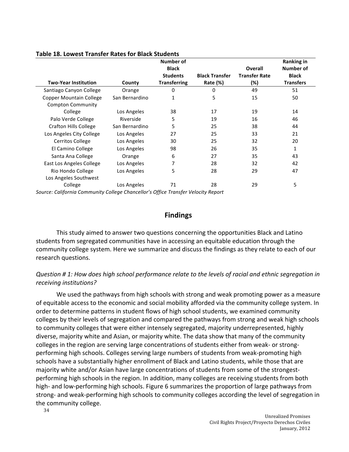|                                |                | <b>Number of</b><br><b>Black</b>                   |                       | <b>Overall</b>       | Ranking in<br><b>Number of</b> |
|--------------------------------|----------------|----------------------------------------------------|-----------------------|----------------------|--------------------------------|
|                                |                | <b>Students</b>                                    | <b>Black Transfer</b> | <b>Transfer Rate</b> | <b>Black</b>                   |
| <b>Two-Year Institution</b>    | County         | <b>Transferring</b>                                | Rate (%)              | (%)                  | <b>Transfers</b>               |
| Santiago Canyon College        | Orange         | $\Omega$                                           | 0                     | 49                   | 51                             |
| <b>Copper Mountain College</b> | San Bernardino | 1                                                  | 5                     | 15                   | 50                             |
| <b>Compton Community</b>       |                |                                                    |                       |                      |                                |
| College                        | Los Angeles    | 38                                                 | 17                    | 19                   | 14                             |
| Palo Verde College             | Riverside      | 5                                                  | 19                    | 16                   | 46                             |
| <b>Crafton Hills College</b>   | San Bernardino | 5                                                  | 25                    | 38                   | 44                             |
| Los Angeles City College       | Los Angeles    | 27                                                 | 25                    | 33                   | 21                             |
| <b>Cerritos College</b>        | Los Angeles    | 30                                                 | 25                    | 32                   | 20                             |
| El Camino College              | Los Angeles    | 98                                                 | 26                    | 35                   | 1                              |
| Santa Ana College              | Orange         | 6                                                  | 27                    | 35                   | 43                             |
| East Los Angeles College       | Los Angeles    |                                                    | 28                    | 32                   | 42                             |
| Rio Hondo College              | Los Angeles    | 5                                                  | 28                    | 29                   | 47                             |
| Los Angeles Southwest          |                |                                                    |                       |                      |                                |
| College                        | Los Angeles    | 71<br>$\sim$ $\sim$ $\sim$<br>$\sim$ $\sim$ $\sim$ | 28                    | 29                   | 5                              |

#### **Table
18.
Lowest
Transfer
Rates
for
Black
Students**

*Source:
California
Community
College
Chancellor's
Office
Transfer
Velocity
Report*

#### **Findings**

This
study
aimed
to
answer
two
questions
concerning
the
opportunities
Black
and
Latino students from segregated communities have in accessing an equitable education through the community college system. Here we summarize and discuss the findings as they relate to each of our research
questions.

#### Question #1: How does high school performance relate to the levels of racial and ethnic segregation in *receiving
institutions?*

We used the pathways from high schools with strong and weak promoting power as a measure of equitable access to the economic and social mobility afforded via the community college system. In order to determine patterns in student flows of high school students, we examined community colleges by their levels of segregation and compared the pathways from strong and weak high schools to community colleges that were either intensely segregated, majority underrepresented, highly diverse, majority white and Asian, or majority white. The data show that many of the community colleges in the region are serving large concentrations of students either from weak- or strongperforming high schools. Colleges serving large numbers of students from weak-promoting high schools have a substantially higher enrollment of Black and Latino students, while those that are majority white and/or Asian have large concentrations of students from some of the strongestperforming high schools in the region. In addition, many colleges are receiving students from both high- and low-performing high schools. Figure 6 summarizes the proportion of large pathways from strong- and weak-performing high schools to community colleges according the level of segregation in the
community
college.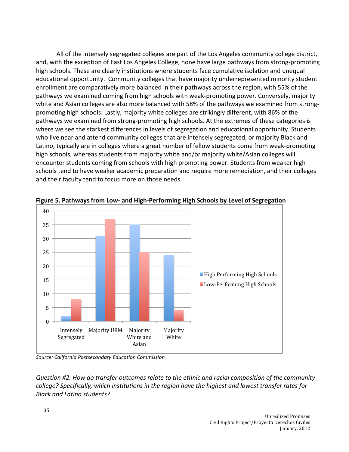All of the intensely segregated colleges are part of the Los Angeles community college district, and, with the exception of East Los Angeles College, none have large pathways from strong-promoting high schools. These are clearly institutions where students face cumulative isolation and unequal educational opportunity. Community colleges that have majority underrepresented minority student enrollment are comparatively more balanced in their pathways across the region, with 55% of the pathways
we
examined
coming
from
high
schools
with
weak‐promoting
power.
Conversely,
majority white and Asian colleges are also more balanced with 58% of the pathways we examined from strongpromoting high schools. Lastly, majority white colleges are strikingly different, with 86% of the pathways we examined from strong-promoting high schools. At the extremes of these categories is where we see the starkest differences in levels of segregation and educational opportunity. Students who live near and attend community colleges that are intensely segregated, or majority Black and Latino, typically are in colleges where a great number of fellow students come from weak-promoting high schools, whereas students from majority white and/or majority white/Asian colleges will encounter
students
coming
from
schools
with
high
promoting
power.
Students
from
weaker
high schools tend to have weaker academic preparation and require more remediation, and their colleges and their faculty tend to focus more on those needs.



Figure 5. Pathways from Low- and High-Performing High Schools by Level of Segregation

*Source:
California
Postsecondary
Education
Commission*

Question #2: How do transfer outcomes relate to the ethnic and racial composition of the community college? Specifically, which institutions in the region have the highest and lowest transfer rates for *Black
and
Latino
students?*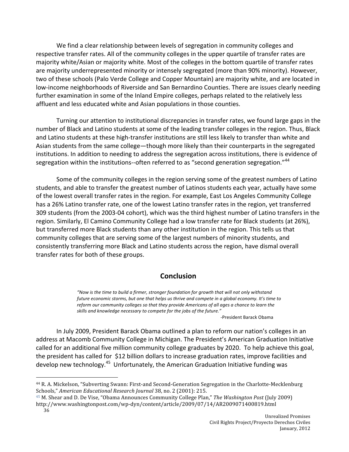We find a clear relationship between levels of segregation in community colleges and respective transfer rates. All of the community colleges in the upper quartile of transfer rates are majority white/Asian or majority white. Most of the colleges in the bottom quartile of transfer rates are majority underrepresented minority or intensely segregated (more than 90% minority). However, two of these schools (Palo Verde College and Copper Mountain) are majority white, and are located in low-income neighborhoods of Riverside and San Bernardino Counties. There are issues clearly needing further examination in some of the Inland Empire colleges, perhaps related to the relatively less affluent
and
less
educated
white
and
Asian
populations
in
those
counties.

Turning our attention to institutional discrepancies in transfer rates, we found large gaps in the number of Black and Latino students at some of the leading transfer colleges in the region. Thus, Black and Latino students at these high-transfer institutions are still less likely to transfer than white and Asian students from the same college—though more likely than their counterparts in the segregated institutions. In addition to needing to address the segregation across institutions, there is evidence of segregation within the institutions--often referred to as "second generation segregation."<sup>44</sup>

Some of the community colleges in the region serving some of the greatest numbers of Latino students, and able to transfer the greatest number of Latinos students each year, actually have some of the lowest overall transfer rates in the region. For example, East Los Angeles Community College has a 26% Latino transfer rate, one of the lowest Latino transfer rates in the region, yet transferred 309
students
(from
the
2003‐04
cohort),
which
was
the
third
highest
number
of
Latino
transfers
in
the region. Similarly, El Camino Community College had a low transfer rate for Black students (at 26%), but transferred more Black students than any other institution in the region. This tells us that community colleges that are serving some of the largest numbers of minority students, and consistently transferring more Black and Latino students across the region, have dismal overall transfer
rates
for
both
of
these
groups.

#### **Conclusion**

*"Now
is
the
time
to
build
a
firmer,
stronger
foundation
for
growth
that
will
not
only
withstand*  future economic storms, but one that helps us thrive and compete in a global economy. It's time to reform our community colleges so that they provide Americans of all ages a chance to learn the *skills
and
knowledge
necessary
to
compete
for
the
jobs
of
the
future."*

‐President
Barack
Obama

In July 2009, President Barack Obama outlined a plan to reform our nation's colleges in an address at Macomb Community College in Michigan. The President's American Graduation Initiative called for an additional five million community college graduates by 2020. To help achieve this goal, the president has called for \$12 billion dollars to increase graduation rates, improve facilities and develop new technology.<sup>45</sup> Unfortunately, the American Graduation Initiative funding was

<sup>&</sup>lt;sup>44</sup> R. A. Mickelson, "Subverting Swann: First-and Second-Generation Segregation in the Charlotte-Mecklenburg Schools," *American
Educational
Research
Journal*38,
no.
2
(2001):
215.

<sup>45</sup> M.
Shear
and
D.
De
Vise,
"Obama
Announces
Community
College
Plan," *The
Washington
Post* (July
2009) http://www.washingtonpost.com/wp‐dyn/content/article/2009/07/14/AR2009071400819.html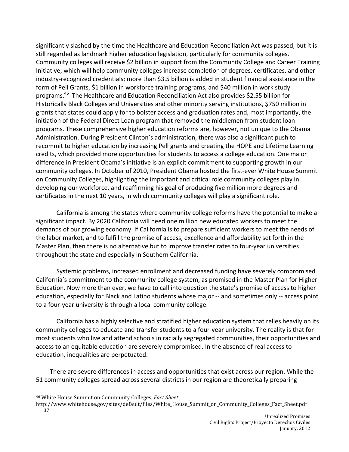significantly slashed by the time the Healthcare and Education Reconciliation Act was passed, but it is still regarded as landmark higher education legislation, particularly for community colleges. Community colleges will receive \$2 billion in support from the Community College and Career Training Initiative, which will help community colleges increase completion of degrees, certificates, and other industry-recognized credentials; more than \$3.5 billion is added in student financial assistance in the form of Pell Grants, \$1 billion in workforce training programs, and \$40 million in work study programs.<sup>46</sup> The Healthcare and Education Reconciliation Act also provides \$2.55 billion for Historically Black Colleges and Universities and other minority serving institutions, \$750 million in grants that states could apply for to bolster access and graduation rates and, most importantly, the initiation of the Federal Direct Loan program that removed the middlemen from student loan programs.
These
comprehensive
higher
education
reforms
are,
however,
not
unique
to
the
Obama Administration. During President Clinton's administration, there was also a significant push to recommit to higher education by increasing Pell grants and creating the HOPE and Lifetime Learning credits, which provided more opportunities for students to access a college education. One major difference in President Obama's initiative is an explicit commitment to supporting growth in our community colleges. In October of 2010, President Obama hosted the first-ever White House Summit on Community Colleges, highlighting the important and critical role community colleges play in developing our workforce, and reaffirming his goal of producing five million more degrees and certificates in the next 10 years, in which community colleges will play a significant role.

California is among the states where community college reforms have the potential to make a significant impact. By 2020 California will need one million new educated workers to meet the demands of our growing economy. If California is to prepare sufficient workers to meet the needs of the labor market, and to fulfill the promise of access, excellence and affordability set forth in the Master Plan, then there is no alternative but to improve transfer rates to four-year universities throughout
the
state
and
especially
in
Southern
California.

Systemic
problems,
increased
enrollment
and
decreased
funding
have
severely
compromised California's commitment to the community college system, as promised in the Master Plan for Higher Education. Now more than ever, we have to call into question the state's promise of access to higher education, especially for Black and Latino students whose major -- and sometimes only -- access point to a four-year university is through a local community college.

California has a highly selective and stratified higher education system that relies heavily on its community colleges to educate and transfer students to a four-year university. The reality is that for most students who live and attend schools in racially segregated communities, their opportunities and access to an equitable education are severely compromised. In the absence of real access to education,
inequalities
are
perpetuated.

There
are
severe
differences
in
access
and
opportunities
that
exist
across
our
region.
While
the 51
community
colleges
spread
across
several
districts
in
our
region
are
theoretically
preparing

<sup>46</sup>White
House
Summit
on
Community
Colleges, *Fact
Sheet*

<sup>37</sup> http://www.whitehouse.gov/sites/default/files/White\_House\_Summit\_on\_Community\_Colleges\_Fact\_Sheet.pdf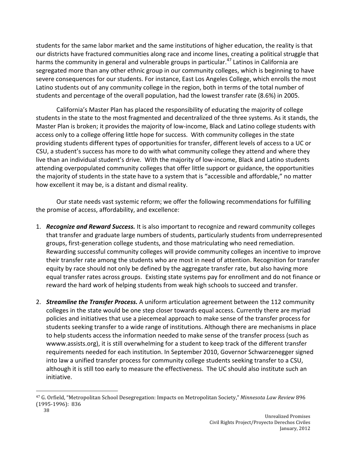students for the same labor market and the same institutions of higher education, the reality is that our districts have fractured communities along race and income lines, creating a political struggle that harms the community in general and vulnerable groups in particular.<sup>47</sup> Latinos in California are segregated more than any other ethnic group in our community colleges, which is beginning to have severe consequences for our students. For instance, East Los Angeles College, which enrolls the most Latino students out of any community college in the region, both in terms of the total number of students and percentage of the overall population, had the lowest transfer rate (8.6%) in 2005.

California's Master Plan has placed the responsibility of educating the majority of college students in the state to the most fragmented and decentralized of the three systems. As it stands, the Master Plan is broken; it provides the majority of low-income, Black and Latino college students with access only to a college offering little hope for success. With community colleges in the state providing students different types of opportunities for transfer, different levels of access to a UC or CSU, a student's success has more to do with what community college they attend and where they live than an individual student's drive. With the majority of low-income, Black and Latino students attending overpopulated community colleges that offer little support or guidance, the opportunities the majority of students in the state have to a system that is "accessible and affordable," no matter how excellent it may be, is a distant and dismal reality.

Our state needs vast systemic reform; we offer the following recommendations for fulfilling the
promise
of
access,
affordability,
and
excellence:

- 1. **Recognize and Reward Success.** It is also important to recognize and reward community colleges that transfer and graduate large numbers of students, particularly students from underrepresented groups,
first‐generation
college
students,
and
those
matriculating
who
need
remediation. Rewarding successful community colleges will provide community colleges an incentive to improve their transfer rate among the students who are most in need of attention. Recognition for transfer equity by race should not only be defined by the aggregate transfer rate, but also having more equal transfer rates across groups. Existing state systems pay for enrollment and do not finance or reward the hard work of helping students from weak high schools to succeed and transfer.
- 2. **Streamline the Transfer Process.** A uniform articulation agreement between the 112 community colleges in the state would be one step closer towards equal access. Currently there are myriad policies and initiatives that use a piecemeal approach to make sense of the transfer process for students seeking transfer to a wide range of institutions. Although there are mechanisms in place to help students access the information needed to make sense of the transfer process (such as www.assists.org), it is still overwhelming for a student to keep track of the different transfer requirements needed for each institution. In September 2010, Governor Schwarzenegger signed into law a unified transfer process for community college students seeking transfer to a CSU, although it is still too early to measure the effectiveness. The UC should also institute such an initiative.

<sup>47</sup>G.
Orfield,
"Metropolitan
School
Desegregation:
Impacts
on
Metropolitan
Society," *Minnesota
Law
Review* 896 (1995‐1996):

836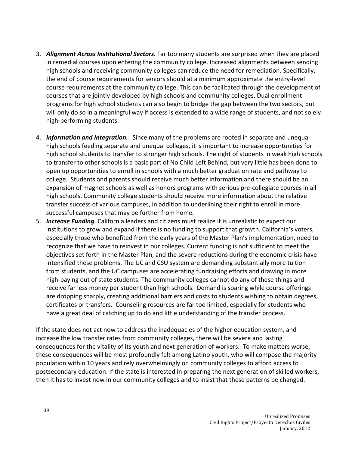- 3. **Alignment Across Institutional Sectors.** Far too many students are surprised when they are placed in remedial courses upon entering the community college. Increased alignments between sending high schools and receiving community colleges can reduce the need for remediation. Specifically, the end of course requirements for seniors should at a minimum approximate the entry-level course requirements at the community college. This can be facilitated through the development of courses that are jointly developed by high schools and community colleges. Dual enrollment programs for high school students can also begin to bridge the gap between the two sectors, but will only do so in a meaningful way if access is extended to a wide range of students, and not solely high‐performing
students.
- 4. **Information and Integration.** Since many of the problems are rooted in separate and unequal high schools feeding separate and unequal colleges, it is important to increase opportunities for high school students to transfer to stronger high schools. The right of students in weak high schools to transfer to other schools is a basic part of No Child Left Behind, but very little has been done to open up opportunities to enroll in schools with a much better graduation rate and pathway to college. Students and parents should receive much better information and there should be an expansion of magnet schools as well as honors programs with serious pre-collegiate courses in all high schools. Community college students should receive more information about the relative transfer
success
of
various
campuses,
in
addition
to
underlining
their
right
to
enroll
in
more successful
campuses
that
may
be
further
from
home*.*
- 5. **Increase Funding**. California leaders and citizens must realize it is unrealistic to expect our institutions to grow and expand if there is no funding to support that growth. California's voters, especially those who benefited from the early years of the Master Plan's implementation, need to recognize that we have to reinvest in our colleges. Current funding is not sufficient to meet the objectives set forth in the Master Plan, and the severe reductions during the economic crisis have intensified
these
problems.
The
UC
and
CSU
system
are
demanding
substantially
more
tuition from students, and the UC campuses are accelerating fundraising efforts and drawing in more high-paying out of state students. The community colleges cannot do any of these things and receive far less money per student than high schools. Demand is soaring while course offerings are dropping sharply, creating additional barriers and costs to students wishing to obtain degrees, certificates or transfers. Counseling resources are far too limited, especially for students who have a great deal of catching up to do and little understanding of the transfer process.

If the state does not act now to address the inadequacies of the higher education system, and increase the low transfer rates from community colleges, there will be severe and lasting consequences for the vitality of its youth and next generation of workers. To make matters worse, these consequences will be most profoundly felt among Latino youth, who will compose the majority population within 10 years and rely overwhelmingly on community colleges to afford access to postsecondary education. If the state is interested in preparing the next generation of skilled workers, then it has to invest now in our community colleges and to insist that these patterns be changed.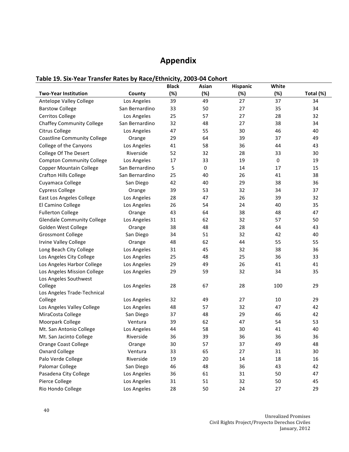## **Appendix**

| Table 19. Six-Teal Transier Nates by Nate/Ethnicity, 2003-04 Conort<br>White<br><b>Black</b><br>Hispanic<br>Asian |                            |     |     |     |     |           |  |  |
|-------------------------------------------------------------------------------------------------------------------|----------------------------|-----|-----|-----|-----|-----------|--|--|
| <b>Two-Year Institution</b>                                                                                       | County                     | (%) | (%) | (%) | (%) | Total (%) |  |  |
| Antelope Valley College                                                                                           | Los Angeles                | 39  | 49  | 27  | 37  | 34        |  |  |
| <b>Barstow College</b>                                                                                            | San Bernardino             | 33  | 50  | 27  | 35  | 34        |  |  |
| <b>Cerritos College</b>                                                                                           | Los Angeles                | 25  | 57  | 27  | 28  | 32        |  |  |
| <b>Chaffey Community College</b>                                                                                  | San Bernardino             | 32  | 48  | 27  | 38  | 34        |  |  |
| Citrus College                                                                                                    | Los Angeles                | 47  | 55  | 30  | 46  | 40        |  |  |
| <b>Coastline Community College</b>                                                                                | Orange                     | 29  | 64  | 39  | 37  | 49        |  |  |
| College of the Canyons                                                                                            | Los Angeles                | 41  | 58  | 36  | 44  | 43        |  |  |
| <b>College Of The Desert</b>                                                                                      | Riverside                  | 52  | 32  | 28  | 33  | 30        |  |  |
| <b>Compton Community College</b>                                                                                  | Los Angeles                | 17  | 33  | 19  | 0   | 19        |  |  |
| <b>Copper Mountain College</b>                                                                                    | San Bernardino             | 5   | 0   | 14  | 17  | 15        |  |  |
| <b>Crafton Hills College</b>                                                                                      | San Bernardino             | 25  | 40  | 26  | 41  | 38        |  |  |
| Cuyamaca College                                                                                                  | San Diego                  | 42  | 40  | 29  | 38  | 36        |  |  |
| <b>Cypress College</b>                                                                                            | Orange                     | 39  | 53  | 32  | 34  | 37        |  |  |
| East Los Angeles College                                                                                          | Los Angeles                | 28  | 47  | 26  | 39  | 32        |  |  |
| El Camino College                                                                                                 | Los Angeles                | 26  | 54  | 24  | 40  | 35        |  |  |
| <b>Fullerton College</b>                                                                                          | Orange                     | 43  | 64  | 38  | 48  | 47        |  |  |
| <b>Glendale Community College</b>                                                                                 | Los Angeles                | 31  | 62  | 32  | 57  | 50        |  |  |
| Golden West College                                                                                               | Orange                     | 38  | 48  | 28  | 44  | 43        |  |  |
| <b>Grossmont College</b>                                                                                          | San Diego                  | 34  | 51  | 32  | 42  | 40        |  |  |
| Irvine Valley College                                                                                             | Orange                     | 48  | 62  | 44  | 55  | 55        |  |  |
| Long Beach City College                                                                                           |                            | 31  | 45  | 32  | 38  | 36        |  |  |
| Los Angeles City College                                                                                          | Los Angeles<br>Los Angeles | 25  | 48  | 25  | 36  | 33        |  |  |
|                                                                                                                   |                            |     |     |     |     |           |  |  |
| Los Angeles Harbor College                                                                                        | Los Angeles                | 29  | 49  | 26  | 41  | 41        |  |  |
| Los Angeles Mission College<br>Los Angeles Southwest                                                              | Los Angeles                | 29  | 59  | 32  | 34  | 35        |  |  |
| College                                                                                                           | Los Angeles                | 28  | 67  | 28  | 100 | 29        |  |  |
| Los Angeles Trade-Technical                                                                                       |                            |     |     |     |     |           |  |  |
| College                                                                                                           | Los Angeles                | 32  | 49  | 27  | 10  | 29        |  |  |
| Los Angeles Valley College                                                                                        | Los Angeles                | 48  | 57  | 32  | 47  | 42        |  |  |
| MiraCosta College                                                                                                 | San Diego                  | 37  | 48  | 29  | 46  | 42        |  |  |
| Moorpark College                                                                                                  | Ventura                    | 39  | 62  | 47  | 54  | 53        |  |  |
| Mt. San Antonio College                                                                                           | Los Angeles                | 44  | 58  | 30  | 41  | 40        |  |  |
| Mt. San Jacinto College                                                                                           | Riverside                  | 36  | 39  | 36  | 36  | 36        |  |  |
| <b>Orange Coast College</b>                                                                                       | Orange                     | 30  | 57  | 37  | 49  | 48        |  |  |
| <b>Oxnard College</b>                                                                                             | Ventura                    | 33  | 65  | 27  | 31  | 30        |  |  |
| Palo Verde College                                                                                                | Riverside                  | 19  | 20  | 14  | 18  | 16        |  |  |
| Palomar College                                                                                                   | San Diego                  | 46  | 48  | 36  | 43  | 42        |  |  |
| Pasadena City College                                                                                             | Los Angeles                | 36  | 61  | 31  | 50  | 47        |  |  |
| Pierce College                                                                                                    | Los Angeles                | 31  | 51  | 32  | 50  | 45        |  |  |
| Rio Hondo College                                                                                                 | Los Angeles                | 28  | 50  | 24  | 27  | 29        |  |  |
|                                                                                                                   |                            |     |     |     |     |           |  |  |

#### **Table
19.
Six‐Year
Transfer
Rates
by
Race/Ethnicity,
2003‐04
Cohort**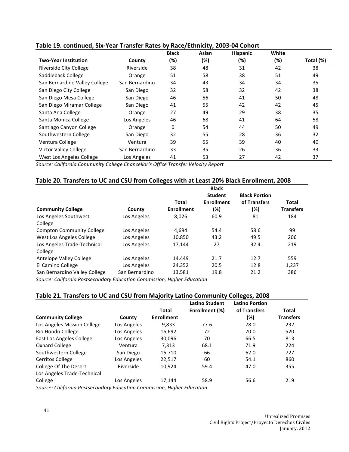|                               |                |              | ~, ~ ~ ~, - <i>, ,</i> . |          |       |           |
|-------------------------------|----------------|--------------|--------------------------|----------|-------|-----------|
|                               |                | <b>Black</b> | Asian                    | Hispanic | White |           |
| <b>Two-Year Institution</b>   | County         | (%)          | (%)                      | (%)      | (%)   | Total (%) |
| Riverside City College        | Riverside      | 38           | 48                       | 31       | 42    | 38        |
| Saddleback College            | Orange         | 51           | 58                       | 38       | 51    | 49        |
| San Bernardino Valley College | San Bernardino | 34           | 43                       | 34       | 34    | 35        |
| San Diego City College        | San Diego      | 32           | 58                       | 32       | 42    | 38        |
| San Diego Mesa College        | San Diego      | 46           | 56                       | 41       | 50    | 48        |
| San Diego Miramar College     | San Diego      | 41           | 55                       | 42       | 42    | 45        |
| Santa Ana College             | Orange         | 27           | 49                       | 29       | 38    | 35        |
| Santa Monica College          | Los Angeles    | 46           | 68                       | 41       | 64    | 58        |
| Santiago Canyon College       | Orange         | 0            | 54                       | 44       | 50    | 49        |
| Southwestern College          | San Diego      | 32           | 55                       | 28       | 36    | 32        |
| Ventura College               | Ventura        | 39           | 55                       | 39       | 40    | 40        |
| Victor Valley College         | San Bernardino | 33           | 35                       | 26       | 36    | 33        |
| West Los Angeles College      | Los Angeles    | 41           | 53                       | 27       | 42    | 37        |

#### **Table
19.
continued,
Six‐Year
Transfer
Rates
by
Race/Ethnicity,
2003‐04
Cohort**

*Source:
California
Community
College
Chancellor's
Office
Transfer
Velocity
Report*

#### Table 20. Transfers to UC and CSU from Colleges with at Least 20% Black Enrollment, 2008

|                                  |                |                   | <b>Black</b>      |                      |                  |
|----------------------------------|----------------|-------------------|-------------------|----------------------|------------------|
|                                  |                |                   | <b>Student</b>    | <b>Black Portion</b> |                  |
|                                  |                | Total             | <b>Enrollment</b> | of Transfers         | <b>Total</b>     |
| <b>Community College</b>         | County         | <b>Enrollment</b> | (%)               | (%)                  | <b>Transfers</b> |
| Los Angeles Southwest            | Los Angeles    | 8.026             | 60.9              | 81                   | 184              |
| College                          |                |                   |                   |                      |                  |
| <b>Compton Community College</b> | Los Angeles    | 4,694             | 54.4              | 58.6                 | 99               |
| West Los Angeles College         | Los Angeles    | 10.850            | 43.2              | 49.5                 | 206              |
| Los Angeles Trade-Technical      | Los Angeles    | 17.144            | 27                | 32.4                 | 219              |
| College                          |                |                   |                   |                      |                  |
| Antelope Valley College          | Los Angeles    | 14.449            | 21.7              | 12.7                 | 559              |
| El Camino College                | Los Angeles    | 24,352            | 20.5              | 12.8                 | 1,237            |
| San Bernardino Valley College    | San Bernardino | 13,581            | 19.8              | 21.2                 | 386              |

*Source:
California
Postsecondary
Education
Commission,
Higher
Education* 

#### **Table
21.
Transfers
to
UC
and
CSU
from
Majority
Latino
Community
Colleges,
2008**

|                             |             |                   | <b>Latino Student</b> | <b>Latino Portion</b> |                  |
|-----------------------------|-------------|-------------------|-----------------------|-----------------------|------------------|
|                             |             | Total             | Enrollment (%)        | of Transfers          | Total            |
| <b>Community College</b>    | County      | <b>Enrollment</b> |                       | (%)                   | <b>Transfers</b> |
| Los Angeles Mission College | Los Angeles | 9,833             | 77.6                  | 78.0                  | 232              |
| Rio Hondo College           | Los Angeles | 16,692            | 72                    | 70.0                  | 520              |
| East Los Angeles College    | Los Angeles | 30,096            | 70                    | 66.5                  | 813              |
| <b>Oxnard College</b>       | Ventura     | 7.313             | 68.1                  | 71.9                  | 224              |
| Southwestern College        | San Diego   | 16,710            | 66                    | 62.0                  | 727              |
| <b>Cerritos College</b>     | Los Angeles | 22,517            | 60                    | 54.1                  | 860              |
| College Of The Desert       | Riverside   | 10,924            | 59.4                  | 47.0                  | 355              |
| Los Angeles Trade-Technical |             |                   |                       |                       |                  |
| College                     | Los Angeles | 17,144            | 58.9                  | 56.6                  | 219              |

*Source:
California
Postsecondary
Education
Commission,
Higher
Education*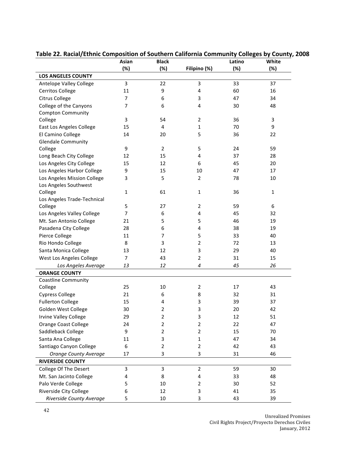| (%)<br>(%)<br>(%)<br>(%)<br>Filipino (%)<br><b>LOS ANGELES COUNTY</b><br>3<br>22<br>3<br>37<br>Antelope Valley College<br>33<br><b>Cerritos College</b><br>9<br>60<br>11<br>4<br>16<br>Citrus College<br>$\overline{7}$<br>6<br>3<br>47<br>34<br>College of the Canyons<br>$\overline{7}$<br>6<br>4<br>30<br>48<br><b>Compton Community</b><br>3<br>54<br>$\overline{2}$<br>36<br>3<br>College<br>9<br>East Los Angeles College<br>15<br>70<br>4<br>1<br>El Camino College<br>5<br>14<br>20<br>36<br>22<br><b>Glendale Community</b><br>9<br>College<br>$\overline{2}$<br>5<br>59<br>24<br>15<br>37<br>Long Beach City College<br>12<br>28<br>4<br>Los Angeles City College<br>15<br>12<br>6<br>45<br>20<br>Los Angeles Harbor College<br>15<br>9<br>10<br>47<br>17<br>Los Angeles Mission College<br>5<br>3<br>$\overline{2}$<br>78<br>10<br>Los Angeles Southwest<br>College<br>1<br>61<br>36<br>1<br>$\mathbf{1}$<br>Los Angeles Trade-Technical<br>5<br>27<br>$\overline{2}$<br>59<br>6<br>College<br>$\overline{7}$<br>Los Angeles Valley College<br>6<br>4<br>45<br>32<br>Mt. San Antonio College<br>5<br>21<br>5<br>46<br>19<br>38<br>Pasadena City College<br>28<br>6<br>19<br>4<br>7<br>5<br>Pierce College<br>11<br>40<br>33<br>Rio Hondo College<br>3<br>2<br>8<br>72<br>13<br>3<br>Santa Monica College<br>12<br>29<br>40<br>13<br>$\overline{7}$<br>43<br>2<br>31<br>West Los Angeles College<br>15<br>Los Angeles Average<br>13<br>12<br>4<br>45<br>26<br><b>ORANGE COUNTY</b><br><b>Coastline Community</b><br>College<br>25<br>$\overline{2}$<br>17<br>43<br>10<br><b>Cypress College</b><br>21<br>6<br>8<br>32<br>31<br><b>Fullerton College</b><br>15<br>3<br>39<br>37<br>4<br>Golden West College<br>2<br>3<br>30<br>20<br>42<br>Irvine Valley College<br>12<br>51<br>29<br>$\overline{2}$<br>3<br>$\overline{2}$<br><b>Orange Coast College</b><br>2<br>22<br>47<br>24<br>Saddleback College<br>$\overline{2}$<br>$\overline{2}$<br>9<br>15<br>70<br>Santa Ana College<br>11<br>3<br>1<br>47<br>34<br>$\overline{2}$<br>Santiago Canyon College<br>6<br>$\overline{2}$<br>42<br>43 | Asian | <b>Black</b> | Latino | White |
|--------------------------------------------------------------------------------------------------------------------------------------------------------------------------------------------------------------------------------------------------------------------------------------------------------------------------------------------------------------------------------------------------------------------------------------------------------------------------------------------------------------------------------------------------------------------------------------------------------------------------------------------------------------------------------------------------------------------------------------------------------------------------------------------------------------------------------------------------------------------------------------------------------------------------------------------------------------------------------------------------------------------------------------------------------------------------------------------------------------------------------------------------------------------------------------------------------------------------------------------------------------------------------------------------------------------------------------------------------------------------------------------------------------------------------------------------------------------------------------------------------------------------------------------------------------------------------------------------------------------------------------------------------------------------------------------------------------------------------------------------------------------------------------------------------------------------------------------------------------------------------------------------------------------------------------------------------------------------------------------------------------------------------------------------------------------------------------------------------|-------|--------------|--------|-------|
|                                                                                                                                                                                                                                                                                                                                                                                                                                                                                                                                                                                                                                                                                                                                                                                                                                                                                                                                                                                                                                                                                                                                                                                                                                                                                                                                                                                                                                                                                                                                                                                                                                                                                                                                                                                                                                                                                                                                                                                                                                                                                                        |       |              |        |       |
|                                                                                                                                                                                                                                                                                                                                                                                                                                                                                                                                                                                                                                                                                                                                                                                                                                                                                                                                                                                                                                                                                                                                                                                                                                                                                                                                                                                                                                                                                                                                                                                                                                                                                                                                                                                                                                                                                                                                                                                                                                                                                                        |       |              |        |       |
|                                                                                                                                                                                                                                                                                                                                                                                                                                                                                                                                                                                                                                                                                                                                                                                                                                                                                                                                                                                                                                                                                                                                                                                                                                                                                                                                                                                                                                                                                                                                                                                                                                                                                                                                                                                                                                                                                                                                                                                                                                                                                                        |       |              |        |       |
|                                                                                                                                                                                                                                                                                                                                                                                                                                                                                                                                                                                                                                                                                                                                                                                                                                                                                                                                                                                                                                                                                                                                                                                                                                                                                                                                                                                                                                                                                                                                                                                                                                                                                                                                                                                                                                                                                                                                                                                                                                                                                                        |       |              |        |       |
|                                                                                                                                                                                                                                                                                                                                                                                                                                                                                                                                                                                                                                                                                                                                                                                                                                                                                                                                                                                                                                                                                                                                                                                                                                                                                                                                                                                                                                                                                                                                                                                                                                                                                                                                                                                                                                                                                                                                                                                                                                                                                                        |       |              |        |       |
|                                                                                                                                                                                                                                                                                                                                                                                                                                                                                                                                                                                                                                                                                                                                                                                                                                                                                                                                                                                                                                                                                                                                                                                                                                                                                                                                                                                                                                                                                                                                                                                                                                                                                                                                                                                                                                                                                                                                                                                                                                                                                                        |       |              |        |       |
|                                                                                                                                                                                                                                                                                                                                                                                                                                                                                                                                                                                                                                                                                                                                                                                                                                                                                                                                                                                                                                                                                                                                                                                                                                                                                                                                                                                                                                                                                                                                                                                                                                                                                                                                                                                                                                                                                                                                                                                                                                                                                                        |       |              |        |       |
|                                                                                                                                                                                                                                                                                                                                                                                                                                                                                                                                                                                                                                                                                                                                                                                                                                                                                                                                                                                                                                                                                                                                                                                                                                                                                                                                                                                                                                                                                                                                                                                                                                                                                                                                                                                                                                                                                                                                                                                                                                                                                                        |       |              |        |       |
|                                                                                                                                                                                                                                                                                                                                                                                                                                                                                                                                                                                                                                                                                                                                                                                                                                                                                                                                                                                                                                                                                                                                                                                                                                                                                                                                                                                                                                                                                                                                                                                                                                                                                                                                                                                                                                                                                                                                                                                                                                                                                                        |       |              |        |       |
|                                                                                                                                                                                                                                                                                                                                                                                                                                                                                                                                                                                                                                                                                                                                                                                                                                                                                                                                                                                                                                                                                                                                                                                                                                                                                                                                                                                                                                                                                                                                                                                                                                                                                                                                                                                                                                                                                                                                                                                                                                                                                                        |       |              |        |       |
|                                                                                                                                                                                                                                                                                                                                                                                                                                                                                                                                                                                                                                                                                                                                                                                                                                                                                                                                                                                                                                                                                                                                                                                                                                                                                                                                                                                                                                                                                                                                                                                                                                                                                                                                                                                                                                                                                                                                                                                                                                                                                                        |       |              |        |       |
|                                                                                                                                                                                                                                                                                                                                                                                                                                                                                                                                                                                                                                                                                                                                                                                                                                                                                                                                                                                                                                                                                                                                                                                                                                                                                                                                                                                                                                                                                                                                                                                                                                                                                                                                                                                                                                                                                                                                                                                                                                                                                                        |       |              |        |       |
|                                                                                                                                                                                                                                                                                                                                                                                                                                                                                                                                                                                                                                                                                                                                                                                                                                                                                                                                                                                                                                                                                                                                                                                                                                                                                                                                                                                                                                                                                                                                                                                                                                                                                                                                                                                                                                                                                                                                                                                                                                                                                                        |       |              |        |       |
|                                                                                                                                                                                                                                                                                                                                                                                                                                                                                                                                                                                                                                                                                                                                                                                                                                                                                                                                                                                                                                                                                                                                                                                                                                                                                                                                                                                                                                                                                                                                                                                                                                                                                                                                                                                                                                                                                                                                                                                                                                                                                                        |       |              |        |       |
|                                                                                                                                                                                                                                                                                                                                                                                                                                                                                                                                                                                                                                                                                                                                                                                                                                                                                                                                                                                                                                                                                                                                                                                                                                                                                                                                                                                                                                                                                                                                                                                                                                                                                                                                                                                                                                                                                                                                                                                                                                                                                                        |       |              |        |       |
|                                                                                                                                                                                                                                                                                                                                                                                                                                                                                                                                                                                                                                                                                                                                                                                                                                                                                                                                                                                                                                                                                                                                                                                                                                                                                                                                                                                                                                                                                                                                                                                                                                                                                                                                                                                                                                                                                                                                                                                                                                                                                                        |       |              |        |       |
|                                                                                                                                                                                                                                                                                                                                                                                                                                                                                                                                                                                                                                                                                                                                                                                                                                                                                                                                                                                                                                                                                                                                                                                                                                                                                                                                                                                                                                                                                                                                                                                                                                                                                                                                                                                                                                                                                                                                                                                                                                                                                                        |       |              |        |       |
|                                                                                                                                                                                                                                                                                                                                                                                                                                                                                                                                                                                                                                                                                                                                                                                                                                                                                                                                                                                                                                                                                                                                                                                                                                                                                                                                                                                                                                                                                                                                                                                                                                                                                                                                                                                                                                                                                                                                                                                                                                                                                                        |       |              |        |       |
|                                                                                                                                                                                                                                                                                                                                                                                                                                                                                                                                                                                                                                                                                                                                                                                                                                                                                                                                                                                                                                                                                                                                                                                                                                                                                                                                                                                                                                                                                                                                                                                                                                                                                                                                                                                                                                                                                                                                                                                                                                                                                                        |       |              |        |       |
|                                                                                                                                                                                                                                                                                                                                                                                                                                                                                                                                                                                                                                                                                                                                                                                                                                                                                                                                                                                                                                                                                                                                                                                                                                                                                                                                                                                                                                                                                                                                                                                                                                                                                                                                                                                                                                                                                                                                                                                                                                                                                                        |       |              |        |       |
|                                                                                                                                                                                                                                                                                                                                                                                                                                                                                                                                                                                                                                                                                                                                                                                                                                                                                                                                                                                                                                                                                                                                                                                                                                                                                                                                                                                                                                                                                                                                                                                                                                                                                                                                                                                                                                                                                                                                                                                                                                                                                                        |       |              |        |       |
|                                                                                                                                                                                                                                                                                                                                                                                                                                                                                                                                                                                                                                                                                                                                                                                                                                                                                                                                                                                                                                                                                                                                                                                                                                                                                                                                                                                                                                                                                                                                                                                                                                                                                                                                                                                                                                                                                                                                                                                                                                                                                                        |       |              |        |       |
|                                                                                                                                                                                                                                                                                                                                                                                                                                                                                                                                                                                                                                                                                                                                                                                                                                                                                                                                                                                                                                                                                                                                                                                                                                                                                                                                                                                                                                                                                                                                                                                                                                                                                                                                                                                                                                                                                                                                                                                                                                                                                                        |       |              |        |       |
|                                                                                                                                                                                                                                                                                                                                                                                                                                                                                                                                                                                                                                                                                                                                                                                                                                                                                                                                                                                                                                                                                                                                                                                                                                                                                                                                                                                                                                                                                                                                                                                                                                                                                                                                                                                                                                                                                                                                                                                                                                                                                                        |       |              |        |       |
|                                                                                                                                                                                                                                                                                                                                                                                                                                                                                                                                                                                                                                                                                                                                                                                                                                                                                                                                                                                                                                                                                                                                                                                                                                                                                                                                                                                                                                                                                                                                                                                                                                                                                                                                                                                                                                                                                                                                                                                                                                                                                                        |       |              |        |       |
|                                                                                                                                                                                                                                                                                                                                                                                                                                                                                                                                                                                                                                                                                                                                                                                                                                                                                                                                                                                                                                                                                                                                                                                                                                                                                                                                                                                                                                                                                                                                                                                                                                                                                                                                                                                                                                                                                                                                                                                                                                                                                                        |       |              |        |       |
|                                                                                                                                                                                                                                                                                                                                                                                                                                                                                                                                                                                                                                                                                                                                                                                                                                                                                                                                                                                                                                                                                                                                                                                                                                                                                                                                                                                                                                                                                                                                                                                                                                                                                                                                                                                                                                                                                                                                                                                                                                                                                                        |       |              |        |       |
|                                                                                                                                                                                                                                                                                                                                                                                                                                                                                                                                                                                                                                                                                                                                                                                                                                                                                                                                                                                                                                                                                                                                                                                                                                                                                                                                                                                                                                                                                                                                                                                                                                                                                                                                                                                                                                                                                                                                                                                                                                                                                                        |       |              |        |       |
|                                                                                                                                                                                                                                                                                                                                                                                                                                                                                                                                                                                                                                                                                                                                                                                                                                                                                                                                                                                                                                                                                                                                                                                                                                                                                                                                                                                                                                                                                                                                                                                                                                                                                                                                                                                                                                                                                                                                                                                                                                                                                                        |       |              |        |       |
|                                                                                                                                                                                                                                                                                                                                                                                                                                                                                                                                                                                                                                                                                                                                                                                                                                                                                                                                                                                                                                                                                                                                                                                                                                                                                                                                                                                                                                                                                                                                                                                                                                                                                                                                                                                                                                                                                                                                                                                                                                                                                                        |       |              |        |       |
|                                                                                                                                                                                                                                                                                                                                                                                                                                                                                                                                                                                                                                                                                                                                                                                                                                                                                                                                                                                                                                                                                                                                                                                                                                                                                                                                                                                                                                                                                                                                                                                                                                                                                                                                                                                                                                                                                                                                                                                                                                                                                                        |       |              |        |       |
|                                                                                                                                                                                                                                                                                                                                                                                                                                                                                                                                                                                                                                                                                                                                                                                                                                                                                                                                                                                                                                                                                                                                                                                                                                                                                                                                                                                                                                                                                                                                                                                                                                                                                                                                                                                                                                                                                                                                                                                                                                                                                                        |       |              |        |       |
|                                                                                                                                                                                                                                                                                                                                                                                                                                                                                                                                                                                                                                                                                                                                                                                                                                                                                                                                                                                                                                                                                                                                                                                                                                                                                                                                                                                                                                                                                                                                                                                                                                                                                                                                                                                                                                                                                                                                                                                                                                                                                                        |       |              |        |       |
|                                                                                                                                                                                                                                                                                                                                                                                                                                                                                                                                                                                                                                                                                                                                                                                                                                                                                                                                                                                                                                                                                                                                                                                                                                                                                                                                                                                                                                                                                                                                                                                                                                                                                                                                                                                                                                                                                                                                                                                                                                                                                                        |       |              |        |       |
|                                                                                                                                                                                                                                                                                                                                                                                                                                                                                                                                                                                                                                                                                                                                                                                                                                                                                                                                                                                                                                                                                                                                                                                                                                                                                                                                                                                                                                                                                                                                                                                                                                                                                                                                                                                                                                                                                                                                                                                                                                                                                                        |       |              |        |       |
|                                                                                                                                                                                                                                                                                                                                                                                                                                                                                                                                                                                                                                                                                                                                                                                                                                                                                                                                                                                                                                                                                                                                                                                                                                                                                                                                                                                                                                                                                                                                                                                                                                                                                                                                                                                                                                                                                                                                                                                                                                                                                                        |       |              |        |       |
|                                                                                                                                                                                                                                                                                                                                                                                                                                                                                                                                                                                                                                                                                                                                                                                                                                                                                                                                                                                                                                                                                                                                                                                                                                                                                                                                                                                                                                                                                                                                                                                                                                                                                                                                                                                                                                                                                                                                                                                                                                                                                                        |       |              |        |       |
|                                                                                                                                                                                                                                                                                                                                                                                                                                                                                                                                                                                                                                                                                                                                                                                                                                                                                                                                                                                                                                                                                                                                                                                                                                                                                                                                                                                                                                                                                                                                                                                                                                                                                                                                                                                                                                                                                                                                                                                                                                                                                                        |       |              |        |       |
|                                                                                                                                                                                                                                                                                                                                                                                                                                                                                                                                                                                                                                                                                                                                                                                                                                                                                                                                                                                                                                                                                                                                                                                                                                                                                                                                                                                                                                                                                                                                                                                                                                                                                                                                                                                                                                                                                                                                                                                                                                                                                                        |       |              |        |       |
| <b>Orange County Average</b><br>17<br>3<br>3<br>31<br>46                                                                                                                                                                                                                                                                                                                                                                                                                                                                                                                                                                                                                                                                                                                                                                                                                                                                                                                                                                                                                                                                                                                                                                                                                                                                                                                                                                                                                                                                                                                                                                                                                                                                                                                                                                                                                                                                                                                                                                                                                                               |       |              |        |       |
| <b>RIVERSIDE COUNTY</b>                                                                                                                                                                                                                                                                                                                                                                                                                                                                                                                                                                                                                                                                                                                                                                                                                                                                                                                                                                                                                                                                                                                                                                                                                                                                                                                                                                                                                                                                                                                                                                                                                                                                                                                                                                                                                                                                                                                                                                                                                                                                                |       |              |        |       |
| College Of The Desert<br>3<br>$\mathbf{3}$<br>$\overline{2}$<br>59<br>30                                                                                                                                                                                                                                                                                                                                                                                                                                                                                                                                                                                                                                                                                                                                                                                                                                                                                                                                                                                                                                                                                                                                                                                                                                                                                                                                                                                                                                                                                                                                                                                                                                                                                                                                                                                                                                                                                                                                                                                                                               |       |              |        |       |
| Mt. San Jacinto College<br>8<br>4<br>4<br>33<br>48                                                                                                                                                                                                                                                                                                                                                                                                                                                                                                                                                                                                                                                                                                                                                                                                                                                                                                                                                                                                                                                                                                                                                                                                                                                                                                                                                                                                                                                                                                                                                                                                                                                                                                                                                                                                                                                                                                                                                                                                                                                     |       |              |        |       |
| Palo Verde College<br>5<br>10<br>2<br>30<br>52                                                                                                                                                                                                                                                                                                                                                                                                                                                                                                                                                                                                                                                                                                                                                                                                                                                                                                                                                                                                                                                                                                                                                                                                                                                                                                                                                                                                                                                                                                                                                                                                                                                                                                                                                                                                                                                                                                                                                                                                                                                         |       |              |        |       |
| Riverside City College<br>12<br>3<br>41<br>35<br>6                                                                                                                                                                                                                                                                                                                                                                                                                                                                                                                                                                                                                                                                                                                                                                                                                                                                                                                                                                                                                                                                                                                                                                                                                                                                                                                                                                                                                                                                                                                                                                                                                                                                                                                                                                                                                                                                                                                                                                                                                                                     |       |              |        |       |
| 5<br>$10\,$<br>3<br>Riverside County Average<br>43<br>39                                                                                                                                                                                                                                                                                                                                                                                                                                                                                                                                                                                                                                                                                                                                                                                                                                                                                                                                                                                                                                                                                                                                                                                                                                                                                                                                                                                                                                                                                                                                                                                                                                                                                                                                                                                                                                                                                                                                                                                                                                               |       |              |        |       |

#### **Table
22.
Racial/Ethnic
Composition
of
Southern
California
Community
Colleges
by
County,
2008**